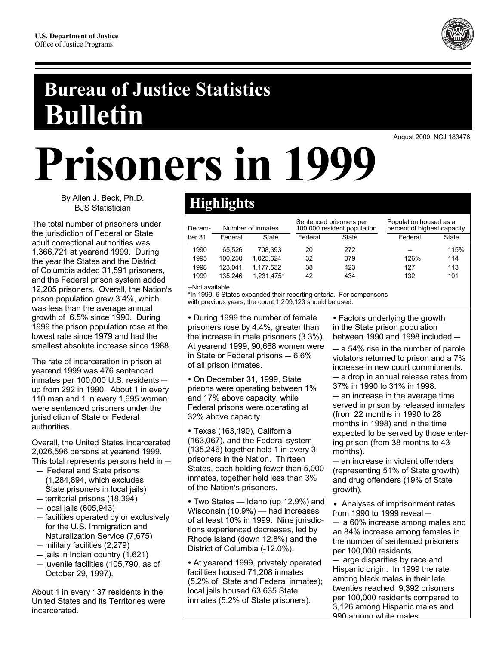

## **Bureau of Justice Statistics Bulletin**

August 2000, NCJ 183476

# Prisoners in 1999

By Allen J. Beck, Ph.D. **BJS Statistician** 

The total number of prisoners under the jurisdiction of Federal or State adult correctional authorities was 1,366,721 at yearend 1999. During the year the States and the District of Columbia added 31,591 prisoners, and the Federal prison system added 12,205 prisoners. Overall, the Nation's prison population grew 3.4%, which was less than the average annual growth of 6.5% since 1990. During 1999 the prison population rose at the lowest rate since 1979 and had the smallest absolute increase since 1988.

The rate of incarceration in prison at yearend 1999 was 476 sentenced inmates per 100,000 U.S. residents up from 292 in 1990. About 1 in every 110 men and 1 in every 1,695 women were sentenced prisoners under the jurisdiction of State or Federal authorities.

Overall, the United States incarcerated 2,026,596 persons at yearend 1999. This total represents persons held in  $-$ 

- Federal and State prisons (1,284,894, which excludes State prisoners in local jails)
- $-$  territorial prisons (18,394)
- $-$  local jails (605,943)
- facilities operated by or exclusively for the U.S. Immigration and Naturalization Service (7,675)
- $-$  military facilities (2,279)
- jails in Indian country (1,621)
- $-$  juvenile facilities (105,790, as of October 29, 1997).

About 1 in every 137 residents in the United States and its Territories were incarcerated.

### **Highlights**

| Decem- | Number of inmates |            | Sentenced prisoners per<br>100,000 resident population |              | Population housed as a<br>percent of highest capacity |              |
|--------|-------------------|------------|--------------------------------------------------------|--------------|-------------------------------------------------------|--------------|
| ber 31 | Federal           | State      | Federal                                                | <b>State</b> | Federal                                               | <b>State</b> |
| 1990   | 65.526            | 708.393    | 20                                                     | 272          | --                                                    | 115%         |
| 1995   | 100.250           | 1.025.624  | 32                                                     | 379          | 126%                                                  | 114          |
| 1998   | 123.041           | 1.177.532  | 38                                                     | 423          | 127                                                   | 113          |
| 1999   | 135.246           | 1.231.475* | 42                                                     | 434          | 132                                                   | 101          |

--Not available.

\*In 1999, 6 States expanded their reporting criteria. For comparisons with previous years, the count 1,209,123 should be used.

• During 1999 the number of female prisoners rose by 4.4%, greater than the increase in male prisoners (3.3%). At yearend 1999, 90,668 women were in State or Federal prisons - 6.6% of all prison inmates.

· On December 31, 1999, State prisons were operating between 1% and 17% above capacity, while Federal prisons were operating at 32% above capacity.

· Texas (163,190), California (163,067), and the Federal system  $(135.246)$  together held 1 in every 3 prisoners in the Nation. Thirteen States, each holding fewer than 5,000 inmates, together held less than 3% of the Nation's prisoners.

• Two States - Idaho (up 12.9%) and Wisconsin (10.9%) - had increases of at least 10% in 1999. Nine jurisdictions experienced decreases, led by Rhode Island (down 12.8%) and the District of Columbia (-12.0%).

• At yearend 1999, privately operated facilities housed 71,208 inmates (5.2% of State and Federal inmates); local jails housed 63,635 State inmates (5.2% of State prisoners).

• Factors underlying the growth in the State prison population between 1990 and 1998 included -

 $-$  a 54% rise in the number of parole violators returned to prison and a 7% increase in new court commitments. - a drop in annual release rates from

37% in 1990 to 31% in 1998. - an increase in the average time

served in prison by released inmates (from 22 months in 1990 to 28 months in 1998) and in the time expected to be served by those entering prison (from 38 months to 43 months).

- an increase in violent offenders (representing 51% of State growth) and drug offenders (19% of State growth).

• Analyses of imprisonment rates from 1990 to 1999 reveal  $-$ 

- a 60% increase among males and an 84% increase among females in the number of sentenced prisoners per 100,000 residents.

- large disparities by race and Hispanic origin. In 1999 the rate among black males in their late twenties reached 9,392 prisoners per 100,000 residents compared to 3,126 among Hispanic males and 990 among white males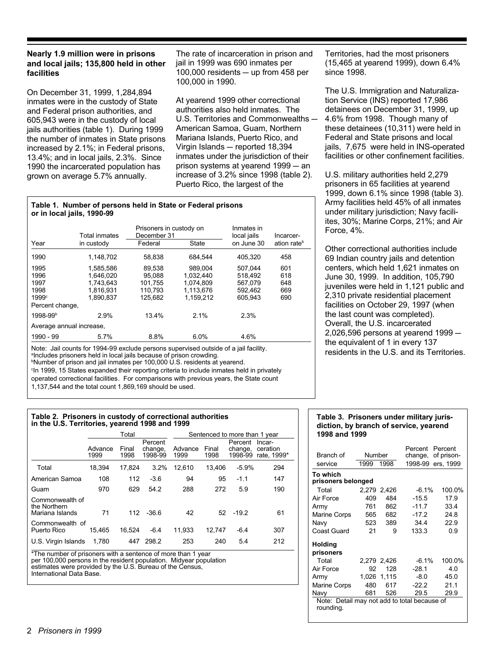#### Nearly 1.9 million were in prisons and local jails; 135,800 held in other facilities

On December 31, 1999, 1,284,894 inmates were in the custody of State and Federal prison authorities, and 605,943 were in the custody of local jails authorities (table 1). During 1999 the number of inmates in State prisons increased by 2.1%; in Federal prisons, 13.4%; and in local jails, 2.3%. Since 1990 the incarcerated population has grown on average 5.7% annually.

The rate of incarceration in prison and jail in 1999 was 690 inmates per 100,000 residents  $-$  up from 458 per 100,000 in 1990.

At yearend 1999 other correctional authorities also held inmates. The U.S. Territories and Commonwealths -American Samoa, Guam, Northern Mariana Islands, Puerto Rico, and Virgin Islands - reported 18,394 inmates under the jurisdiction of their prison systems at yearend 1999 - an increase of 3.2% since 1998 (table 2). Puerto Rico, the largest of the

#### Table 1. Number of persons held in State or Federal prisons or in local jails, 1990-99

|                          | <b>Total inmates</b> | Prisoners in custody on<br>December 31 |              | Inmates in<br>local jails | Incarcer-               |  |
|--------------------------|----------------------|----------------------------------------|--------------|---------------------------|-------------------------|--|
| Year                     | in custody           | Federal                                | <b>State</b> | on June 30                | ation rate <sup>b</sup> |  |
| 1990                     | 1.148.702            | 58.838                                 | 684.544      | 405.320                   | 458                     |  |
| 1995                     | 1,585,586            | 89.538                                 | 989.004      | 507.044                   | 601                     |  |
| 1996                     | 1.646.020            | 95.088                                 | 1.032.440    | 518.492                   | 618                     |  |
| 1997                     | 1.743.643            | 101.755                                | 1.074.809    | 567.079                   | 648                     |  |
| 1998                     | 1,816,931            | 110.793                                | 1.113.676    | 592.462                   | 669                     |  |
| 1999c                    | 1,890,837            | 125.682                                | 1.159.212    | 605.943                   | 690                     |  |
| Percent change,          |                      |                                        |              |                           |                         |  |
| 1998-99b                 | 2.9%                 | 13.4%                                  | 2.1%         | 2.3%                      |                         |  |
| Average annual increase, |                      |                                        |              |                           |                         |  |
| 1990 - 99                | 5.7%                 | 8.8%                                   | 6.0%         | 4.6%                      |                         |  |

Note: Jail counts for 1994-99 exclude persons supervised outside of a jail facility. <sup>a</sup>Includes prisoners held in local jails because of prison crowding.

<sup>b</sup>Number of prison and jail inmates per 100,000 U.S. residents at yearend.

<sup>c</sup>In 1999, 15 States expanded their reporting criteria to include inmates held in privately

operated correctional facilities. For comparisons with previous years, the State count

1,137,544 and the total count 1,869,169 should be used.

#### Table 2. Prisoners in custody of correctional authorities in the U.S. Territories, yearend 1998 and 1999

|                                                    |                 | Total         |                               | Sentenced to more than 1 year |               |                               |                                   |
|----------------------------------------------------|-----------------|---------------|-------------------------------|-------------------------------|---------------|-------------------------------|-----------------------------------|
|                                                    | Advance<br>1999 | Final<br>1998 | Percent<br>change,<br>1998-99 | Advance<br>1999               | Final<br>1998 | Percent<br>change,<br>1998-99 | Incar-<br>ceration<br>rate, 1999* |
| Total                                              | 18.394          | 17,824        | 3.2%                          | 12.610                        | 13.406        | $-5.9%$                       | 294                               |
| American Samoa                                     | 108             | 112           | $-3.6$                        | 94                            | 95            | $-1.1$                        | 147                               |
| Guam                                               | 970             | 629           | 54.2                          | 288                           | 272           | 5.9                           | 190                               |
| Commonwealth of<br>the Northern<br>Mariana Islands | 71              | 112           | $-36.6$                       | 42                            |               | $52 - 19.2$                   | 61                                |
| Commonwealth of<br>Puerto Rico                     | 15.465          | 16.524        | $-6.4$                        | 11.933                        | 12.747        | $-6.4$                        | 307                               |
| U.S. Virgin Islands                                | 1.780           | 447           | 298.2                         | 253                           | 240           | 5.4                           | 212                               |

\*The number of prisoners with a sentence of more than 1 year per 100,000 persons in the resident population. Midyear population estimates were provided by the U.S. Bureau of the Census, International Data Base

Territories, had the most prisoners (15,465 at yearend 1999), down 6.4% since 1998.

The U.S. Immigration and Naturalization Service (INS) reported 17,986 detainees on December 31, 1999, up 4.6% from 1998. Though many of these detainees (10,311) were held in Federal and State prisons and local jails, 7,675 were held in INS-operated facilities or other confinement facilities.

U.S. military authorities held 2,279 prisoners in 65 facilities at yearend 1999, down 6.1% since 1998 (table 3). Army facilities held 45% of all inmates under military jurisdiction; Navy faciliites, 30%; Marine Corps, 21%; and Air Force, 4%.

Other correctional authorities include 69 Indian country jails and detention centers, which held 1,621 inmates on June 30, 1999. In addition, 105,790 juveniles were held in 1,121 public and 2,310 private residential placement facilities on October 29, 1997 (when the last count was completed). Overall, the U.S. incarcerated 2,026,596 persons at yearend  $1999$ the equivalent of 1 in every 137 residents in the U.S. and its Territories.

#### Table 3. Prisoners under military jurisdiction, by branch of service, yearend 1998 and 1999

| Branch of                                                 | Number |             | Percent<br>change, of prison- | Percent |  |  |  |  |
|-----------------------------------------------------------|--------|-------------|-------------------------------|---------|--|--|--|--|
|                                                           |        |             |                               |         |  |  |  |  |
| service                                                   | 1999   | 1998        | 1998-99 ers, 1999             |         |  |  |  |  |
| To which<br>prisoners belonged                            |        |             |                               |         |  |  |  |  |
| Total                                                     |        | 2,279 2,426 | $-6.1%$                       | 100.0%  |  |  |  |  |
| Air Force                                                 | 409    | 484         | $-15.5$                       | 17.9    |  |  |  |  |
| Army                                                      | 761    | 862         | $-11.7$                       | 33.4    |  |  |  |  |
| <b>Marine Corps</b>                                       | 565    | 682         | $-17.2$                       | 24.8    |  |  |  |  |
| Navy                                                      | 523    | 389         | 34.4                          | 22.9    |  |  |  |  |
| Coast Guard                                               | 21     | 9           | 133.3                         | 0.9     |  |  |  |  |
| Holding                                                   |        |             |                               |         |  |  |  |  |
| prisoners                                                 |        |             |                               |         |  |  |  |  |
| Total                                                     |        | 2,279 2,426 | $-6.1%$                       | 100.0%  |  |  |  |  |
| Air Force                                                 | 92     | 128         | $-28.1$                       | 4.0     |  |  |  |  |
| Army                                                      |        | 1,026 1,115 | $-8.0$                        | 45.0    |  |  |  |  |
| <b>Marine Corps</b>                                       | 480    | 617         | $-22.2$                       | 21.1    |  |  |  |  |
| Navy                                                      | 681    | 526         | 29.5                          | 29.9    |  |  |  |  |
| Note: Detail may not add to total because of<br>rounding. |        |             |                               |         |  |  |  |  |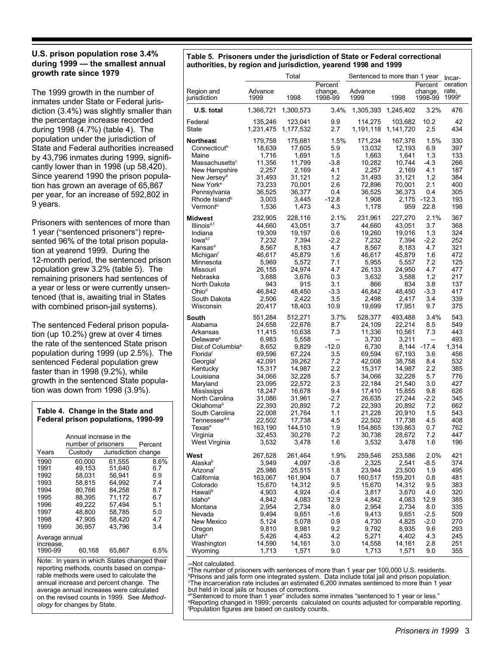#### U.S. prison population rose 3.4% during 1999 - the smallest annual growth rate since 1979

The 1999 growth in the number of inmates under State or Federal jurisdiction (3.4%) was slightly smaller than the percentage increase recorded during 1998 (4.7%) (table 4). The population under the jurisdiction of State and Federal authorities increased by 43,796 inmates during 1999, significantly lower than in 1998 (up 58,420). Since yearend 1990 the prison population has grown an average of 65,867 per year, for an increase of 592,802 in 9 years.

Prisoners with sentences of more than 1 year ("sentenced prisoners") represented 96% of the total prison population at yearend 1999. During the 12-month period, the sentenced prison population grew 3.2% (table 5). The remaining prisoners had sentences of a year or less or were currently unsentenced (that is, awaiting trial in States with combined prison-jail systems).

The sentenced Federal prison population (up 10.2%) grew at over 4 times the rate of the sentenced State prison population during 1999 (up 2.5%). The sentenced Federal population grew faster than in 1998 (9.2%), while growth in the sentenced State population was down from 1998 (3.9%).

#### Table 4. Change in the State and Federal prison populations, 1990-99

| Jurisdiction change<br>Years<br>Custody<br>1990<br>60.000<br>61.555<br>1991<br>49.153<br>51,640<br>6.7<br>1992<br>58.031<br>56.941<br>6.9<br>1993<br>58.815<br>64.992<br>7.4<br>1994<br>80.766<br>84.258<br>8.7<br>1995<br>71.172<br>88.395<br>6.7<br>1996<br>49,222<br>57.494<br>5.1<br>1997<br>48.800<br>58.785<br>5.0<br>1998<br>47.905<br>58.420<br>4.7<br>1999<br>36,957<br>43.796<br>3.4<br>Average annual |           | Annual increase in the<br>number of prisoners | Percent |
|------------------------------------------------------------------------------------------------------------------------------------------------------------------------------------------------------------------------------------------------------------------------------------------------------------------------------------------------------------------------------------------------------------------|-----------|-----------------------------------------------|---------|
|                                                                                                                                                                                                                                                                                                                                                                                                                  |           |                                               |         |
|                                                                                                                                                                                                                                                                                                                                                                                                                  |           |                                               | 8.6%    |
| 1990-99<br>60.168<br>65,867                                                                                                                                                                                                                                                                                                                                                                                      | increase. |                                               | 6.5%    |

Note: In years in which States changed their reporting methods, counts based on comparable methods were used to calculate the annual increase and percent change. The average annual increases were calculated on the revised counts in 1999. See Methodology for changes by State.

#### Table 5. Prisoners under the jurisdiction of State or Federal correctional authorities, by region and jurisdiction, yearend 1998 and 1999

|                                                   |                      | Total                |                    | Sentenced to more than 1 year | Incar-               |                    |                   |
|---------------------------------------------------|----------------------|----------------------|--------------------|-------------------------------|----------------------|--------------------|-------------------|
|                                                   | Advance              |                      | Percent            | Advance                       |                      | Percent<br>change, | ceration<br>rate. |
| Region and<br>jurisdiction                        | 1999                 | 1998                 | change,<br>1998-99 | 1999                          | 1998                 | 1998-99            | 1999 <sup>a</sup> |
| U.S. total                                        | 1,366,721            | 1,300,573            | 3.4%               | 1,305,393                     | 1,245,402            | 3.2%               | 476               |
| Federal<br><b>State</b>                           | 135,246<br>1,231,475 | 123,041<br>1,177,532 | 9.9<br>2.7         | 114,275<br>1,191,118          | 103.682<br>1,141,720 | 10.2<br>2.5        | 42<br>434         |
| <b>Northeast</b>                                  | 179,758              | 175,681              | 1.5%               | 171,234                       | 167,376              | 1.5%               | 330               |
| Connecticut <sup>b</sup>                          | 18,639               | 17,605               | 5.9                | 13,032                        | 12,193               | 6.9                | 397               |
| Maine<br>Massachusetts <sup>c</sup>               | 1,716<br>11,356      | 1,691<br>11,799      | 1.5<br>-3.8        | 1,663<br>10,282               | 1,641<br>10,744      | 1.3<br>$-4.3$      | 133<br>266        |
| New Hampshire                                     | 2,257                | 2,169                | 4.1                | 2,257                         | 2.169                | 4.1                | 187               |
| New Jersey <sup>d</sup>                           | 31,493               | 31,121               | 1.2                | 31,493                        | 31,121               | 1.2                | 384               |
| New York <sup>e</sup>                             | 73,233               | 70,001               | 2.6                | 72,896                        | 70,001               | 2.1                | 400               |
| Pennsylvania                                      | 36,525               | 36,377               | 0.4                | 36,525                        | 36,373               | 0.4                | 305               |
| Rhode Island <sup>b</sup><br>Vermont <sup>b</sup> | 3,003<br>1,536       | 3,445<br>1,473       | $-12.8$<br>4.3     | 1,908<br>1,178                | 2,175<br>959         | $-12.3$<br>22.8    | 193<br>198        |
| Midwest                                           | 232,905              | 228,116              | 2.1%               | 231,961                       | 227,270              | 2.1%               | 367               |
| Illinois <sup>d,f</sup>                           | 44,660               | 43,051               | 3.7                | 44,660                        | 43,051               | 3.7                | 368               |
| Indiana                                           | 19,309               | 19,197               | 0.6                | 19,260                        | 19,016               | 1.3                | 324               |
| Iowa <sup>d,f</sup>                               | 7,232                | 7,394                | $-2.2$             | 7,232                         | 7,394                | $-2.2$             | 252               |
| Kansas <sup>d</sup>                               | 8,567                | 8,183                | 4.7                | 8,567                         | 8,183                | 4.7                | 321               |
| Michigan <sup>f</sup>                             | 46,617               | 45,879               | 1.6<br>7.1         | 46,617                        | 45,879               | 1.6<br>7.2         | 472<br>125        |
| Minnesota<br>Missouri                             | 5,969<br>26,155      | 5,572<br>24,974      | 4.7                | 5,955<br>26,133               | 5,557<br>24,950      | 4.7                | 477               |
| Nebraska                                          | 3,688                | 3,676                | 0.3                | 3,632                         | 3,588                | 1.2                | 217               |
| North Dakota                                      | 943                  | 915                  | 3.1                | 866                           | 834                  | 3.8                | 137               |
| Ohio <sup>d</sup>                                 | 46,842               | 48,450               | -3.3               | 46,842                        | 48,450               | $-3.3$             | 417               |
| South Dakota<br>Wisconsin                         | 2,506<br>20,417      | 2,422                | 3.5<br>10.9        | 2.498                         | 2.417                | 3.4<br>9.7         | 339<br>375        |
|                                                   |                      | 18,403               |                    | 19,699                        | 17,951               |                    |                   |
| South<br>Alabama                                  | 551,284              | 512,271              | 3.7%<br>8.7        | 528,377                       | 493,488              | 3.4%<br>8.5        | 543<br>549        |
| Arkansas                                          | 24,658<br>11,415     | 22,676<br>10,638     | 7.3                | 24,109<br>11,336              | 22,214<br>10,561     | 7.3                | 443               |
| Delaware <sup>b</sup>                             | 6,983                | 5,558                | --                 | 3,730                         | 3,211                | --                 | 493               |
| Dist.of Columbia <sup>b</sup>                     | 8,652                | 9,829                | $-12.0$            | 6,730                         | 8,144                | $-17.4$            | 1,314             |
| Florida <sup>t</sup>                              | 69,596               | 67,224               | 3.5                | 69,594                        | 67,193               | 3.6                | 456               |
| Georgia <sup>t</sup>                              | 42,091               | 39,262               | 7.2<br>2.2         | 42,008                        | 38,758               | 8.4<br>2.2         | 532<br>385        |
| Kentucky<br>Louisiana                             | 15,317<br>34,066     | 14,987<br>32,228     | 5.7                | 15,317<br>34,066              | 14,987<br>32,228     | 5.7                | 776               |
| Maryland                                          | 23,095               | 22,572               | 2.3                | 22,184                        | 21,540               | 3.0                | 427               |
| Mississippi                                       | 18,247               | 16,678               | 9.4                | 17,410                        | 15,855               | 9.8                | 626               |
| North Carolina                                    | 31,086               | 31,961               | $-2.7$             | 26,635                        | 27,244               | $-2.2$             | 345               |
| Oklahoma <sup>d</sup>                             | 22,393               | 20,892               | 7.2                | 22,393                        | 20,892               | 7.2                | 662               |
| South Carolina<br>Tennessee <sup>d,e</sup>        | 22,008<br>22,502     | 21,764<br>17,738     | 1.1<br>4.5         | 21,228<br>22,502              | 20,910<br>17,738     | 1.5<br>4.5         | 543<br>408        |
| Texas <sup>e</sup>                                | 163,190              | 144,510              | 1.9                | 154,865                       | 139,863              | 0.7                | 762               |
| Virginia                                          | 32,453               | 30,276               | 7.2                | 30,738                        | 28,672               | 7.2                | 447               |
| West Virginia                                     | 3,532                | 3,478                | 1.6                | 3,532                         | 3,478                | 1.6                | 196               |
| West                                              | 267,528              | 261,464              | 1.9%               | 259,546                       | 253,586              | 2.0%               | 421               |
| Alaska <sup>b</sup>                               | 3,949                | 4,097                | -3.6               | 2,325                         | 2,541                | $-8.5$             | 374               |
| Arizonaf                                          | 25,986               | 25,515               | 1.8                | 23,944                        | 23,500               | 1.9                | 495               |
| California<br>Colorado                            | 163,067<br>15,670    | 161,904<br>14,312    | 0.7<br>9.5         | 160,517<br>15,670             | 159,201<br>14,312    | 0.8<br>9.5         | 481<br>383        |
| Hawaii <sup>b</sup>                               | 4,903                | 4,924                | $-0.4$             | 3,817                         | 3,670                | 4.0                | 320               |
| <b>Idaho</b> <sup>e</sup>                         | 4,842                | 4,083                | 12.9               | 4,842                         | 4,083                | 12.9               | 385               |
| Montana                                           | 2,954                | 2,734                | 8.0                | 2,954                         | 2,734                | 8.0                | 335               |
| Nevada                                            | 9,494                | 9,651                | $-1.6$             | 9,413                         | 9,651                | $-2.5$             | 509               |
| New Mexico                                        | 5,124<br>9,810       | 5,078<br>8,981       | 0.9<br>9.2         | 4,730<br>9,792                | 4,825<br>8,935       | $-2.0$<br>9.6      | 270<br>293        |
| Oregon<br>Utah <sup>e</sup>                       | 5,426                | 4,453                | 4.2                | 5,271                         | 4,402                | 4.3                | 245               |
| Washington                                        | 14,590               | 14,161               | 3.0                | 14,558                        | 14,161               | 2.8                | 251               |
| Wyoming                                           | 1,713                | 1,571                | 9.0                | 1,713                         | 1,571                | 9.0                | 355               |

--Not calculated.

a The number of prisoners with sentences of more than 1 year per 100,000 U.S. residents.<br> **Prisons and jails form one integrated system.** Data include total jail and prison population. <sup>c</sup>The incarceration rate includes an estimated 6,200 inmates sentenced to more than 1 year but held in local jails or houses of corrections.

d"Sentenced to more than 1 year" includes some inmates "sentenced to 1 year or less." <sup>e</sup>Reporting changed in 1999; percents calculated on counts adjusted for comparable reporting. <sup>f</sup>Population figures are based on custody counts.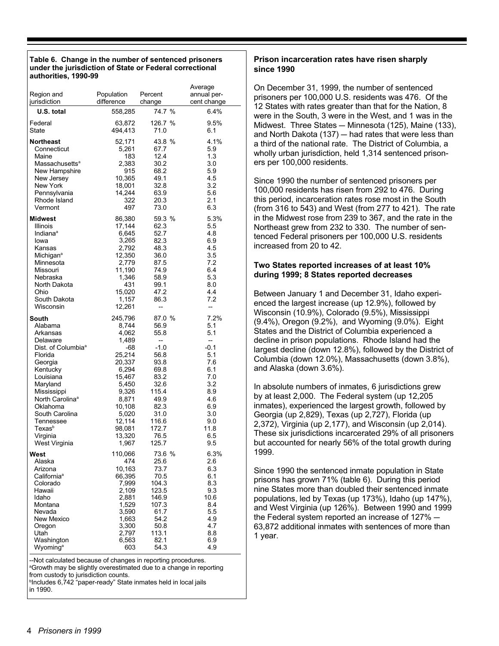#### Table 6. Change in the number of sentenced prisoners under the jurisdiction of State or Federal correctional authorities, 1990-99

| Region and<br>jurisdiction     | Population<br>difference | Percent<br>change | Average<br>annual per-<br>cent change |
|--------------------------------|--------------------------|-------------------|---------------------------------------|
| U.S. total                     | 558,285                  | 74.7 %            | 6.4%                                  |
| Federal                        | 63,872                   | 126.7 %           | 9.5%                                  |
| State                          | 494,413                  | 71.0              | 6.1                                   |
| <b>Northeast</b>               | 52,171                   | 43.8 %            | 4.1%                                  |
| Connecticut                    | 5,261                    | 67.7              | 5.9                                   |
| Maine                          | 183                      | 12.4              | 1.3                                   |
| Massachusetts <sup>a</sup>     | 2,383                    | 30.2              | 3.0                                   |
| New Hampshire                  | 915                      | 68.2              | 5.9                                   |
| New Jersey                     | 10,365                   | 49.1              | 4.5                                   |
| New York                       | 18,001                   | 32.8              | 3.2                                   |
| Pennsylvania                   | 14,244                   | 63.9              | 5.6                                   |
| Rhode Island                   | 322                      | 20.3              | 2.1                                   |
| Vermont                        | 497                      | 73.0              | 6.3                                   |
| <b>Midwest</b>                 | 86,380                   | 59.3 %            | 5.3%                                  |
| Illinois                       | 17,144                   | 62.3              | 5.5                                   |
| Indiana <sup>a</sup>           | 6,645                    | 52.7              | 4.8                                   |
| lowa                           | 3,265                    | 82.3              | 6.9                                   |
| Kansas                         | 2,792                    | 48.3              | 4.5                                   |
| Michigan <sup>a</sup>          | 12,350                   | 36.0              | 3.5                                   |
| Minnesota                      | 2,779                    | 87.5              | 7.2                                   |
| Missouri                       | 11,190                   | 74.9              | 6.4                                   |
| Nebraska                       | 1,346                    | 58.9              | 5.3                                   |
| North Dakota                   | 431                      | 99.1              | 8.0                                   |
| Ohio                           | 15,020                   | 47.2              | 4.4                                   |
| South Dakota                   | 1,157                    | 86.3              | 7.2                                   |
| Wisconsin                      | 12,261                   | --                | --                                    |
| <b>South</b>                   | 245,796                  | 87.0 %            | 7.2%                                  |
| Alabama                        | 8,744                    | 56.9              | 5.1                                   |
| Arkansas                       | 4,062                    | 55.8              | 5.1                                   |
| Delaware                       | 1,489                    | --                | --                                    |
| Dist. of Columbia <sup>a</sup> | -68                      | $-1.0$            | $-0.1$                                |
| Florida                        | 25,214                   | 56.8              | 5.1                                   |
| Georgia                        | 20,337                   | 93.8              | 7.6                                   |
| Kentucky                       | 6,294                    | 69.8              | 6.1                                   |
| Louisiana                      | 15,467                   | 83.2              | 7.0                                   |
| Maryland                       | 5,450                    | 32.6              | 3.2                                   |
| Mississippi                    | 9,326                    | 115.4             | 8.9                                   |
| North Carolina <sup>a</sup>    | 8,871                    | 49.9              | 4.6                                   |
| Oklahoma                       | 10,108                   | 82.3              | 6.9                                   |
| South Carolina                 | 5,020                    | 31.0              | 3.0                                   |
| Tennessee                      | 12,114                   | 116.6             | 9.0                                   |
| Texasb                         | 98,081                   | 172.7             | 11.8                                  |
| Virginia                       | 13,320                   | 76.5              | 6.5                                   |
| West Virginia                  | 1,967                    | 125.7             | 9.5                                   |
| West                           | 110,066                  | 73.6 %            | 6.3%                                  |
| Alaska                         | 474                      | 25.6              | 2.6                                   |
| Arizona                        | 10,163                   | 73.7              | 6.3                                   |
| California <sup>a</sup>        | 66,395                   | 70.5              | 6.1                                   |
| Colorado                       | 7,999                    | 104.3             | 8.3                                   |
| Hawaii                         | 2,109                    | 123.5             | 9.3                                   |
| Idaho                          | 2,881                    | 146.9             | 10.6                                  |
| Montana                        | 1,529                    | 107.3             | 8.4                                   |
| Nevada                         | 3,590                    | 61.7              | 5.5                                   |
| New Mexico                     | 1,663                    | 54.2              | 4.9                                   |
| Oregon                         | 3,300                    | 50.8              | 4.7                                   |
| Utah                           | 2,797                    | 113.1             | 8.8                                   |
| Washington                     | 6,563                    | 82.1              | 6.9                                   |
| Wyoming <sup>a</sup>           | 603                      | 54.3              | 4.9                                   |

--Not calculated because of changes in reporting procedures.

<sup>a</sup>Growth may be slightly overestimated due to a change in reporting from custody to jurisdiction counts.

<sup>b</sup>Includes 6,742 "paper-ready" State inmates held in local jails in 1990

#### Prison incarceration rates have risen sharply since 1990

On December 31, 1999, the number of sentenced prisoners per 100,000 U.S. residents was 476. Of the 12 States with rates greater than that for the Nation, 8 were in the South, 3 were in the West, and 1 was in the Midwest. Three States - Minnesota (125), Maine (133), and North Dakota (137) - had rates that were less than a third of the national rate. The District of Columbia, a wholly urban jurisdiction, held 1,314 sentenced prisoners per 100,000 residents.

Since 1990 the number of sentenced prisoners per 100,000 residents has risen from 292 to 476. During this period, incarceration rates rose most in the South (from 316 to 543) and West (from 277 to 421). The rate in the Midwest rose from 239 to 367, and the rate in the Northeast grew from 232 to 330. The number of sentenced Federal prisoners per 100,000 U.S. residents increased from 20 to 42.

#### Two States reported increases of at least 10% during 1999; 8 States reported decreases

Between January 1 and December 31, Idaho experienced the largest increase (up 12.9%), followed by Wisconsin (10.9%), Colorado (9.5%), Mississippi (9.4%), Oregon (9.2%), and Wyoming (9.0%). Eight States and the District of Columbia experienced a decline in prison populations. Rhode Island had the largest decline (down 12.8%), followed by the District of Columbia (down 12.0%), Massachusetts (down 3.8%), and Alaska (down 3.6%).

In absolute numbers of inmates, 6 jurisdictions grew by at least 2,000. The Federal system (up 12,205) inmates), experienced the largest growth, followed by Georgia (up 2,829), Texas (up 2,727), Florida (up 2,372), Virginia (up 2,177), and Wisconsin (up 2,014). These six jurisdictions incarcerated 29% of all prisoners but accounted for nearly 56% of the total growth during 1999.

Since 1990 the sentenced inmate population in State prisons has grown 71% (table 6). During this period nine States more than doubled their sentenced inmate populations, led by Texas (up 173%), Idaho (up 147%), and West Virginia (up 126%). Between 1990 and 1999 the Federal system reported an increase of 127% -63,872 additional inmates with sentences of more than 1 year.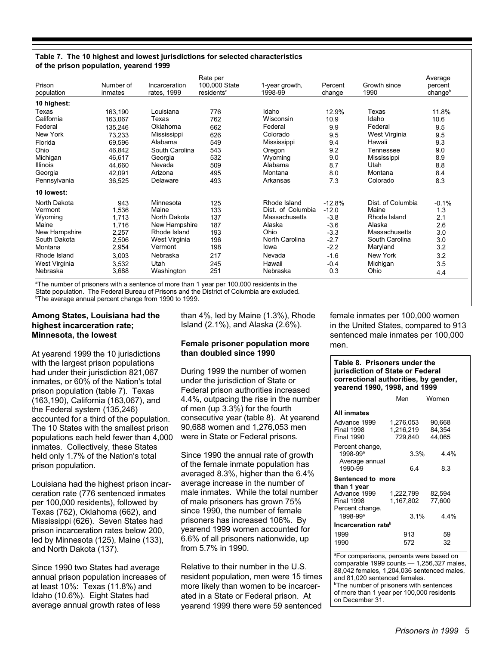#### Table 7. The 10 highest and lowest jurisdictions for selected characteristics of the prison population, yearend 1999

| Prison<br>population | Number of<br>inmates | Incarceration<br>rates, 1999 | Rate per<br>100,000 State<br>residents <sup>a</sup> | 1-year growth,<br>1998-99 | Percent<br>change | Growth since<br>1990 | Average<br>percent<br>changeb |
|----------------------|----------------------|------------------------------|-----------------------------------------------------|---------------------------|-------------------|----------------------|-------------------------------|
| 10 highest:          |                      |                              |                                                     |                           |                   |                      |                               |
| Texas                | 163,190              | Louisiana                    | 776                                                 | Idaho                     | 12.9%             | Texas                | 11.8%                         |
| California           | 163.067              | Texas                        | 762                                                 | Wisconsin                 | 10.9              | Idaho                | 10.6                          |
| Federal              | 135,246              | Oklahoma                     | 662                                                 | Federal                   | 9.9               | Federal              | 9.5                           |
| New York             | 73,233               | Mississippi                  | 626                                                 | Colorado                  | 9.5               | West Virginia        | 9.5                           |
| Florida              | 69.596               | Alabama                      | 549                                                 | Mississippi               | 9.4               | Hawaii               | 9.3                           |
| Ohio                 | 46.842               | South Carolina               | 543                                                 | Oregon                    | 9.2               | Tennessee            | 9.0                           |
| Michigan             | 46,617               | Georgia                      | 532                                                 | Wyoming                   | 9.0               | Mississippi          | 8.9                           |
| Illinois             | 44,660               | Nevada                       | 509                                                 | Alabama                   | 8.7               | Utah                 | 8.8                           |
| Georgia              | 42,091               | Arizona                      | 495                                                 | Montana                   | 8.0               | Montana              | 8.4                           |
| Pennsylvania         | 36,525               | Delaware                     | 493                                                 | Arkansas                  | 7.3               | Colorado             | 8.3                           |
| 10 lowest:           |                      |                              |                                                     |                           |                   |                      |                               |
| North Dakota         | 943                  | Minnesota                    | 125                                                 | Rhode Island              | $-12.8%$          | Dist. of Columbia    | $-0.1%$                       |
| Vermont              | 1,536                | Maine                        | 133                                                 | Dist. of Columbia         | $-12.0$           | Maine                | 1.3                           |
| Wyoming              | 1,713                | North Dakota                 | 137                                                 | Massachusetts             | $-3.8$            | Rhode Island         | 2.1                           |
| Maine                | 1,716                | New Hampshire                | 187                                                 | Alaska                    | $-3.6$            | Alaska               | 2.6                           |
| New Hampshire        | 2,257                | Rhode Island                 | 193                                                 | Ohio                      | $-3.3$            | Massachusetts        | 3.0                           |
| South Dakota         | 2,506                | West Virginia                | 196                                                 | North Carolina            | $-2.7$            | South Carolina       | 3.0                           |
| Montana              | 2,954                | Vermont                      | 198                                                 | lowa                      | $-2.2$            | Maryland             | 3.2                           |
| Rhode Island         | 3,003                | Nebraska                     | 217                                                 | Nevada                    | $-1.6$            | New York             | 3.2                           |
| West Virginia        | 3,532                | Utah                         | 245                                                 | Hawaii                    | $-0.4$            | Michigan             | 3.5                           |
| Nebraska             | 3,688                | Washington                   | 251                                                 | Nebraska                  | 0.3               | Ohio                 | 4.4                           |

<sup>a</sup>The number of prisoners with a sentence of more than 1 year per 100,000 residents in the State population. The Federal Bureau of Prisons and the District of Columbia are excluded.

<sup>b</sup>The average annual percent change from 1990 to 1999.

#### Among States, Louisiana had the highest incarceration rate; Minnesota, the lowest

At yearend 1999 the 10 jurisdictions with the largest prison populations had under their jurisdiction 821,067 inmates, or 60% of the Nation's total prison population (table 7). Texas (163,190), California (163,067), and the Federal system (135,246) accounted for a third of the population. The 10 States with the smallest prison populations each held fewer than 4,000 inmates. Collectively, these States held only 1.7% of the Nation's total prison population.

Louisiana had the highest prison incarceration rate (776 sentenced inmates per 100,000 residents), followed by Texas (762), Oklahoma (662), and Mississippi (626). Seven States had prison incarceration rates below 200, led by Minnesota (125), Maine (133), and North Dakota (137).

Since 1990 two States had average annual prison population increases of at least 10%: Texas (11.8%) and Idaho (10.6%). Eight States had average annual growth rates of less

than 4%, led by Maine (1.3%), Rhode Island (2.1%), and Alaska (2.6%).

#### Female prisoner population more than doubled since 1990

During 1999 the number of women under the jurisdiction of State or Federal prison authorities increased 4.4%, outpacing the rise in the number of men (up 3.3%) for the fourth consecutive year (table 8). At yearend 90,688 women and 1,276,053 men were in State or Federal prisons.

Since 1990 the annual rate of growth of the female inmate population has averaged 8.3%, higher than the 6.4% average increase in the number of male inmates. While the total number of male prisoners has grown 75% since 1990, the number of female prisoners has increased 106%. By yearend 1999 women accounted for 6.6% of all prisoners nationwide, up from 5.7% in 1990.

Relative to their number in the U.S. resident population, men were 15 times more likely than women to be incarcerated in a State or Federal prison. At yearend 1999 there were 59 sentenced

female inmates per 100,000 women in the United States, compared to 913 sentenced male inmates per 100,000 men.

#### Table 8. Prisoners under the jurisdiction of State or Federal correctional authorities, by gender, yearend 1990, 1998, and 1999

|                                                                      | Men                               | Women                      |  |
|----------------------------------------------------------------------|-----------------------------------|----------------------------|--|
| All inmates                                                          |                                   |                            |  |
| Advance 1999<br><b>Final 1998</b><br><b>Final 1990</b>               | 1.276.053<br>1,216,219<br>729.840 | 90.668<br>84.354<br>44.065 |  |
| Percent change,<br>1998-99 <sup>a</sup><br>Average annual<br>1990-99 | 3.3%<br>64                        | 4.4%<br>8.3                |  |
| Sentenced to more                                                    |                                   |                            |  |
| than 1 year<br>Advance 1999<br><b>Final 1998</b><br>Percent change,  | 1,222,799<br>1.167.802            | 82.594<br>77.600           |  |
| $1998 - 99$ <sup>a</sup>                                             | 3.1%                              | 4.4%                       |  |
| Incarceration rate <sup>b</sup>                                      |                                   |                            |  |
| 1999                                                                 | 913                               | 59                         |  |
| 1990                                                                 | 572                               | 32                         |  |

<sup>a</sup>For comparisons, percents were based on comparable 1999 counts - 1.256.327 males. 88,042 females, 1,204,036 sentenced males, and 81.020 sentenced females. <sup>b</sup>The number of prisoners with sentences of more than 1 year per 100,000 residents on December 31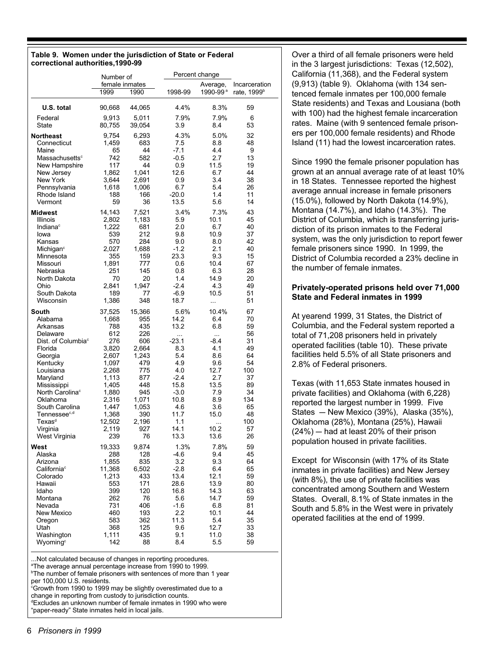#### Table 9. Women under the jurisdiction of State or Federal correctional authorities, 1990-99

|                                 | Number of              |        | Percent change |                      |                                          |
|---------------------------------|------------------------|--------|----------------|----------------------|------------------------------------------|
|                                 | female inmates<br>1999 | 1990   | 1998-99        | Average,<br>1990-99ª | Incarceration<br>rate, 1999 <sup>b</sup> |
| U.S. total                      | 90,668                 | 44,065 | 4.4%           | 8.3%                 | 59                                       |
| Federal                         | 9,913                  | 5,011  | 7.9%           | 7.9%                 | 6                                        |
| State                           | 80,755                 | 39,054 | 3.9            | 8.4                  | 53                                       |
| <b>Northeast</b>                | 9,754                  | 6,293  | 4.3%           | 5.0%                 | 32                                       |
| Connecticut                     | 1,459                  | 683    | 7.5            | 8.8                  | 48                                       |
| Maine                           | 65                     | 44     | $-7.1$         | 4.4                  | 9                                        |
| Massachusetts <sup>c</sup>      | 742                    | 582    | $-0.5$         | 2.7                  | 13                                       |
| New Hampshire                   | 117                    | 44     | 0.9            | 11.5                 | 19                                       |
| New Jersey                      | 1.862                  | 1,041  | 12.6           | 6.7                  | 44                                       |
| New York                        | 3,644                  | 2,691  | 0.9            | 3.4                  | 38                                       |
| Pennsylvania                    | 1,618                  | 1,006  | 6.7            | 5.4                  | 26                                       |
| Rhode Island                    | 188                    | 166    | $-20.0$        | 1.4                  | 11                                       |
| Vermont                         | 59                     | 36     | 13.5           | 5.6                  | 14                                       |
| <b>Midwest</b>                  | 14,143                 | 7,521  | 3.4%           | 7.3%                 | 43                                       |
| Illinois                        | 2,802                  | 1,183  | 5.9            | 10.1                 | 45                                       |
| Indiana <sup>c</sup>            | 1,222                  | 681    | 2.0            | 6.7                  | 40                                       |
| lowa                            | 539                    | 212    | 9.8            | 10.9                 | 37                                       |
| Kansas                          | 570                    | 284    | 9.0            | 8.0                  | 42                                       |
| Michigan <sup>c</sup>           | 2,027                  | 1,688  | $-1.2$         | 2.1                  | 40                                       |
| Minnesota                       | 355                    | 159    | 23.3           | 9.3                  | 15                                       |
| Missouri                        | 1,891                  | 777    | 0.6            | 10.4                 | 67                                       |
| Nebraska                        | 251                    | 145    | 0.8            | 6.3                  | 28                                       |
| North Dakota                    | 70                     | 20     | 1.4            | 14.9                 | 20                                       |
| Ohio                            | 2,841                  | 1,947  | $-2.4$         | 4.3                  | 49                                       |
| South Dakota                    | 189                    | 77     | $-6.9$         | 10.5                 | 51                                       |
| Wisconsin                       | 1,386                  | 348    | 18.7           |                      | 51                                       |
| South                           | 37,525                 | 15,366 | 5.6%           | 10.4%                | 67                                       |
| Alabama                         | 1,668                  | 955    | 14.2           | 6.4                  | 70                                       |
| Arkansas                        | 788                    | 435    | 13.2           | 6.8                  | 59                                       |
| Delaware                        | 612                    | 226    | $\cdots$       | $\cdots$             | 56                                       |
| Dist. of Columbia <sup>c</sup>  | 276                    | 606    | -23.1          | $-8.4$               | 31                                       |
| Florida                         | 3,820                  | 2,664  | 8.3            | 4.1                  | 49                                       |
| Georgia                         | 2,607                  | 1,243  | 5.4            | 8.6                  | 64                                       |
| Kentucky                        | 1,097                  | 479    | 4.9            | 9.6                  | 54                                       |
| Louisiana                       | 2,268                  | 775    | 4.0            | 12.7                 | 100                                      |
| Maryland                        | 1,113                  | 877    | $-2.4$         | 2.7                  | 37                                       |
| Mississippi                     | 1,405                  | 448    | 15.8           | 13.5                 | 89                                       |
| North Carolina <sup>c</sup>     | 1,880                  | 945    | $-3.0$         | 7.9                  | 34                                       |
| Oklahoma                        | 2,316                  | 1,071  | 10.8           | 8.9                  | 134                                      |
| South Carolina                  | 1,447                  | 1,053  | 4.6            | 3.6                  | 65                                       |
| Tennessee <sup>c,d</sup>        | 1,368                  | 390    | 11.7           | 15.0                 | 48                                       |
| $\mathsf{Texas}^\text{\tiny d}$ | 12,502                 | 2,196  | 1.1            |                      | 100                                      |
| Virginia                        | 2,119                  | 927    | 14.1           | 10.2                 | 57                                       |
| West Virginia                   | 239                    | 76     | 13.3           | 13.6                 | 26                                       |
| West                            | 19,333                 | 9,874  | 1.3%           | 7.8%                 | 59                                       |
| Alaska                          | 288                    | 128    | -4.6           | 9.4                  | 45                                       |
| Arizona                         | 1,855                  | 835    | 3.2            | 9.3                  | 64                                       |
| California <sup>c</sup>         | 11,368                 | 6,502  | $-2.8$         | 6.4                  | 65                                       |
| Colorado                        | 1,213                  | 433    | 13.4           | 12.1                 | 59                                       |
| Hawaii                          | 553                    | 171    | 28.6           | 13.9                 | 80                                       |
| Idaho                           | 399                    | 120    | 16.8           | 14.3                 | 63                                       |
| Montana                         | 262                    | 76     | 5.6            | 14.7                 | 59                                       |
| Nevada                          | 731                    | 406    | $-1.6$         | 6.8                  | 81                                       |
| New Mexico                      | 460                    | 193    | 2.2            | 10.1                 | 44                                       |
| Oregon                          | 583                    | 362    | 11.3           | 5.4                  | 35                                       |
| Utah                            | 368                    | 125    | 9.6            | 12.7                 | 33                                       |
| Washington                      | 1,111                  | 435    | 9.1            | 11.0                 | 38                                       |
| Wyomina <sup>c</sup>            | 142                    | 88     | 8.4            | 5.5                  | 59                                       |

.Not calculated because of changes in reporting procedures.

<sup>a</sup>The average annual percentage increase from 1990 to 1999.

<sup>b</sup>The number of female prisoners with sentences of more than 1 year per 100,000 U.S. residents. <sup>c</sup>Growth from 1990 to 1999 may be slightly overestimated due to a

change in reporting from custody to jurisdiction counts.

**Excludes an unknown number of female inmates in 1990 who were** 

"paper-ready" State inmates held in local jails.

Over a third of all female prisoners were held in the 3 largest jurisdictions: Texas (12,502), California (11,368), and the Federal system (9,913) (table 9). Oklahoma (with 134 sentenced female inmates per 100,000 female State residents) and Texas and Lousiana (both with 100) had the highest female incarceration rates. Maine (with 9 sentenced female prisoners per 100,000 female residents) and Rhode Island (11) had the lowest incarceration rates.

Since 1990 the female prisoner population has grown at an annual average rate of at least 10% in 18 States. Tennessee reported the highest average annual increase in female prisoners (15.0%), followed by North Dakota (14.9%), Montana (14.7%), and Idaho (14.3%). The District of Columbia, which is transferring jurisdiction of its prison inmates to the Federal system, was the only jurisdiction to report fewer female prisoners since 1990. In 1999, the District of Columbia recorded a 23% decline in the number of female inmates.

#### Privately-operated prisons held over 71,000 **State and Federal inmates in 1999**

At yearend 1999, 31 States, the District of Columbia, and the Federal system reported a total of 71,208 prisoners held in privately operated facilities (table 10). These private facilities held 5.5% of all State prisoners and 2.8% of Federal prisoners.

Texas (with 11,653 State inmates housed in private facilities) and Oklahoma (with 6,228) reported the largest number in 1999. Five States - New Mexico (39%), Alaska (35%), Oklahoma (28%), Montana (25%), Hawaii  $(24%)$  – had at least 20% of their prison population housed in private facilities.

Except for Wisconsin (with 17% of its State inmates in private facilities) and New Jersey (with 8%), the use of private facilities was concentrated among Southern and Western States. Overall, 8.1% of State inmates in the South and 5.8% in the West were in privately operated facilities at the end of 1999.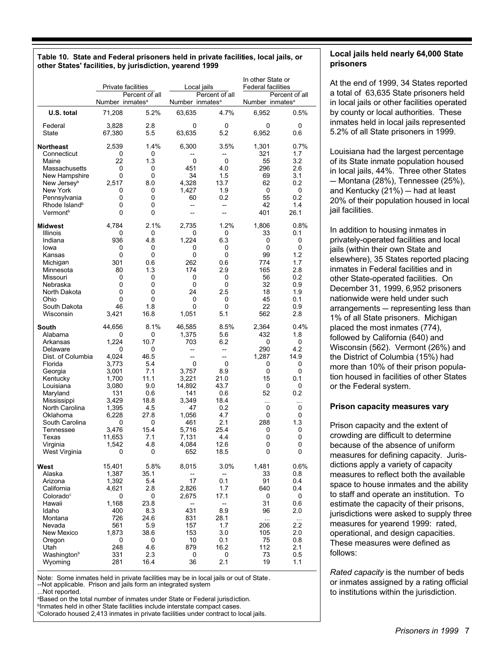#### Table 10. State and Federal prisoners held in private facilities, local jails, or other States' facilities, by jurisdiction, yearend 1999

|                                                                                                                                                                                                                                            | Private facilities<br>Local jails                                                                                                              |                                                                                                                           | In other State or<br><b>Federal facilities</b>                                                                                                                                          |                                                                                                                               |                                                                                                                      |                                                                                                        |
|--------------------------------------------------------------------------------------------------------------------------------------------------------------------------------------------------------------------------------------------|------------------------------------------------------------------------------------------------------------------------------------------------|---------------------------------------------------------------------------------------------------------------------------|-----------------------------------------------------------------------------------------------------------------------------------------------------------------------------------------|-------------------------------------------------------------------------------------------------------------------------------|----------------------------------------------------------------------------------------------------------------------|--------------------------------------------------------------------------------------------------------|
|                                                                                                                                                                                                                                            | Percent of all<br>Number inmates <sup>a</sup>                                                                                                  |                                                                                                                           | Number inmates <sup>a</sup>                                                                                                                                                             | Percent of all                                                                                                                | Percent of all<br>Number inmates <sup>a</sup>                                                                        |                                                                                                        |
| U.S. total                                                                                                                                                                                                                                 | 71,208                                                                                                                                         | 5.2%                                                                                                                      | 63,635                                                                                                                                                                                  | 4.7%                                                                                                                          | 6,952                                                                                                                | 0.5%                                                                                                   |
| Federal<br>State                                                                                                                                                                                                                           | 3,828<br>67,380                                                                                                                                | 2.8<br>5.5                                                                                                                | 0<br>63,635                                                                                                                                                                             | 0<br>5.2                                                                                                                      | 0<br>6,952                                                                                                           | 0<br>0.6                                                                                               |
| <b>Northeast</b><br>Connecticut<br>Maine<br>Massachusetts<br>New Hampshire<br>New Jersey <sup>b</sup><br>New York<br>Pennsylvania<br>Rhode Island <sup>b</sup><br>Vermont <sup>b</sup>                                                     | 2,539<br>0<br>22<br>0<br>0<br>2,517<br>0<br>0<br>0<br>$\Omega$                                                                                 | 1.4%<br>0<br>1.3<br>0<br>0<br>8.0<br>0<br>0<br>0<br>0                                                                     | 6,300<br>0<br>451<br>34<br>4,328<br>1,427<br>60<br>--<br>$\overline{a}$                                                                                                                 | 3.5%<br>--<br>0<br>4.0<br>1.5<br>13.7<br>1.9<br>0.2<br>$\overline{\phantom{a}}$<br>$\overline{a}$                             | 1,301<br>321<br>55<br>296<br>69<br>62<br>0<br>55<br>42<br>401                                                        | 0.7%<br>1.7<br>3.2<br>2.6<br>3.1<br>0.2<br>0<br>0.2<br>1.4<br>26.1                                     |
| Midwest<br>Illinois<br>Indiana<br>lowa<br>Kansas<br>Michigan<br>Minnesota<br>Missouri<br>Nebraska<br>North Dakota<br>Ohio<br>South Dakota<br>Wisconsin                                                                                     | 4,784<br>0<br>936<br>0<br>0<br>301<br>80<br>0<br>0<br>0<br>0<br>46<br>3,421                                                                    | 2.1%<br>0<br>4.8<br>0<br>0<br>0.6<br>1.3<br>0<br>0<br>0<br>0<br>1.8<br>16.8                                               | 2,735<br>0<br>1,224<br>0<br>0<br>262<br>174<br>0<br>0<br>24<br>0<br>0<br>1,051                                                                                                          | 1.2%<br>0<br>6.3<br>0<br>0<br>0.6<br>2.9<br>0<br>0<br>2.5<br>0<br>0<br>5.1                                                    | 1,806<br>33<br>0<br>0<br>99<br>774<br>165<br>56<br>32<br>18<br>45<br>22<br>562                                       | 0.8%<br>0.1<br>0<br>0<br>1.2<br>1.7<br>2.8<br>0.2<br>0.9<br>1.9<br>0.1<br>0.9<br>2.8                   |
| South<br>Alabama<br>Arkansas<br>Delaware<br>Dist. of Columbia<br>Florida<br>Georgia<br>Kentucky<br>Louisiana<br>Maryland<br>Mississippi<br>North Carolina<br>Oklahoma<br>South Carolina<br>Tennessee<br>Texas<br>Virginia<br>West Virginia | 44,656<br>0<br>1,224<br>0<br>4,024<br>3,773<br>3,001<br>1,700<br>3,080<br>131<br>3,429<br>1,395<br>6,228<br>0<br>3,476<br>11,653<br>1,542<br>0 | 8.1%<br>0<br>10.7<br>0<br>46.5<br>5.4<br>7.1<br>11.1<br>9.0<br>0.6<br>18.8<br>4.5<br>27.8<br>0<br>15.4<br>7.1<br>4.8<br>0 | 46,585<br>1,375<br>703<br>$\overline{\phantom{a}}$<br>$\overline{\phantom{a}}$<br>0<br>3,757<br>3,221<br>14,892<br>141<br>3,349<br>47<br>1,056<br>461<br>5.716<br>7,131<br>4,084<br>652 | 8.5%<br>5.6<br>6.2<br>--<br>--<br>0<br>8.9<br>21.0<br>43.7<br>0.6<br>18.4<br>0.2<br>4.7<br>2.1<br>25.4<br>4.4<br>12.6<br>18.5 | 2,364<br>432<br>0<br>290<br>1,287<br>0<br>0<br>15<br>0<br>52<br>$\cdots$<br>0<br>0<br>288<br>0<br>$\Omega$<br>0<br>0 | 0.4%<br>1.8<br>0<br>4.2<br>14.9<br>0<br>0<br>0.1<br>0<br>0.2<br><br>0<br>0<br>1.3<br>0<br>0<br>0<br>0  |
| West<br>Alaska<br>Arizona<br>California<br>Colorado <sup>c</sup><br>Hawaii<br>Idaho<br>Montana<br>Nevada<br>New Mexico<br>Oregon<br>Utah<br>Washington <sup>b</sup><br>Wyoming                                                             | 15,401<br>1,387<br>1,392<br>4,621<br>0<br>1,168<br>400<br>726<br>561<br>1,873<br>0<br>248<br>331<br>281                                        | 5.8%<br>35.1<br>5.4<br>2.8<br>0<br>23.8<br>8.3<br>24.6<br>5.9<br>38.6<br>0<br>4.6<br>2.3<br>16.4                          | 8,015<br>17<br>2,826<br>2,675<br>--<br>431<br>831<br>157<br>153<br>10<br>879<br>0<br>36                                                                                                 | 3.0%<br>$\overline{\phantom{a}}$<br>0.1<br>1.7<br>17.1<br>--<br>8.9<br>28.1<br>1.7<br>3.0<br>0.1<br>16.2<br>0<br>2.1          | 1,481<br>33<br>91<br>640<br>0<br>31<br>96<br>$\ddotsc$<br>206<br>105<br>75<br>112<br>73<br>19                        | 0.6%<br>0.8<br>0.4<br>0.4<br>0<br>0.6<br>2.0<br>$\ldots$<br>$2.2\,$<br>2.0<br>0.8<br>2.1<br>0.5<br>1.1 |

Note: Some inmates held in private facilities may be in local jails or out of State. --Not applicable. Prison and jails form an integrated system

...Not reported. <sup>a</sup>Based on the total number of inmates under State or Federal iurisdiction.

<sup>b</sup>Inmates held in other State facilities include interstate compact cases.

<sup>c</sup>Colorado housed 2,413 inmates in private facilities under contract to local jails.

#### Local jails held nearly 64,000 State prisoners

At the end of 1999, 34 States reported a total of 63,635 State prisoners held in local jails or other facilities operated by county or local authorities. These inmates held in local jails represented 5.2% of all State prisoners in 1999.

Louisiana had the largest percentage of its State inmate population housed in local jails, 44%. Three other States - Montana (28%), Tennessee (25%), and Kentucky (21%) - had at least 20% of their population housed in local jail facilities.

In addition to housing inmates in privately-operated facilities and local jails (within their own State and elsewhere), 35 States reported placing inmates in Federal facilities and in other State-operated facilities. On December 31, 1999, 6.952 prisoners nationwide were held under such arrangements - representing less than 1% of all State prisoners. Michigan placed the most inmates (774). followed by California (640) and Wisconsin (562). Vermont (26%) and the District of Columbia (15%) had more than 10% of their prison population housed in facilities of other States or the Federal system.

#### Prison capacity measures vary

Prison capacity and the extent of crowding are difficult to determine because of the absence of uniform measures for defining capacity. Jurisdictions apply a variety of capacity measures to reflect both the available space to house inmates and the ability to staff and operate an institution. To estimate the capacity of their prisons, jurisdictions were asked to supply three measures for yearend 1999: rated, operational, and design capacities. These measures were defined as follows:

Rated capacity is the number of beds or inmates assigned by a rating official to institutions within the jurisdiction.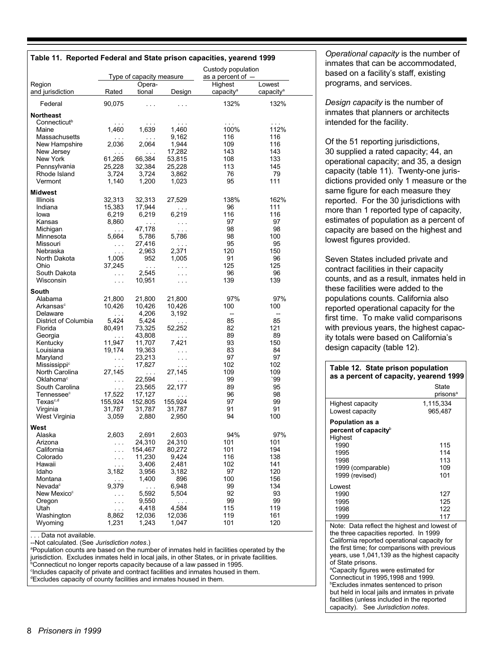| Table 11. Reported Federal and State prison capacities, yearend 1999 |                          |                          |                               | Custody population    |                       |  |
|----------------------------------------------------------------------|--------------------------|--------------------------|-------------------------------|-----------------------|-----------------------|--|
|                                                                      |                          | Type of capacity measure |                               | as a percent of -     |                       |  |
| Region                                                               |                          | Opera-                   |                               | Highest               | Lowest                |  |
| and jurisdiction                                                     | Rated                    | tional                   | Design                        | capacity <sup>a</sup> | capacity <sup>a</sup> |  |
| Federal                                                              | 90,075                   | $\sim 100$               | .                             | 132%                  | 132%                  |  |
| <b>Northeast</b>                                                     |                          |                          |                               |                       |                       |  |
| Connecticut <sup>b</sup>                                             | $\sim$ $\sim$ $\sim$     | $\sim$ $\sim$ $\sim$     | $\cdots$                      | $\sim$ $\sim$         | $\sim$ $\sim$ $\sim$  |  |
| Maine                                                                | 1,460                    | 1,639                    | 1,460                         | 100%                  | 112%                  |  |
| Massachusetts                                                        | $\sim$ $\sim$ $\sim$     | $\sim 100$               | 9,162                         | 116                   | 116                   |  |
| New Hampshire<br>New Jersey                                          | 2,036                    | 2,064                    | 1,944<br>17,282               | 109<br>143            | 116<br>143            |  |
| New York                                                             | $\sim 100$<br>61,265     | $\sim 100$<br>66,384     | 53,815                        | 108                   | 133                   |  |
| Pennsylvania                                                         | 25,228                   | 32,384                   | 25,228                        | 113                   | 145                   |  |
| Rhode Island                                                         | 3,724                    | 3,724                    | 3,862                         | 76                    | 79                    |  |
| Vermont                                                              | 1,140                    | 1,200                    | 1,023                         | 95                    | 111                   |  |
| <b>Midwest</b>                                                       |                          |                          |                               |                       |                       |  |
| Illinois                                                             | 32,313                   | 32,313                   | 27,529                        | 138%                  | 162%                  |  |
| Indiana                                                              | 15,383                   | 17,944                   | $\cdots$                      | 96                    | 111                   |  |
| lowa                                                                 | 6,219                    | 6,219                    | 6,219                         | 116                   | 116                   |  |
| Kansas                                                               | 8,860                    | $\sim 100$               | $\sim 100$                    | 97                    | 97                    |  |
| Michigan                                                             | $\sim 100$               | 47,178                   | $\ddotsc$                     | 98                    | 98                    |  |
| Minnesota<br>Missouri                                                | 5,664                    | 5,786<br>27,416          | 5,786                         | 98<br>95              | 100<br>95             |  |
| Nebraska                                                             | $\sim 100$<br>$\sim 100$ | 2,963                    | $\sim$ .<br>2,371             | 120                   | 150                   |  |
| North Dakota                                                         | 1,005                    | 952                      | 1,005                         | 91                    | 96                    |  |
| Ohio                                                                 | 37,245                   | $\sim 100$               | $\sim 10$                     | 125                   | 125                   |  |
| South Dakota                                                         | $\sim 100$               | 2,545                    | $\cdots$                      | 96                    | 96                    |  |
| Wisconsin                                                            | $\sim 100$               | 10,951                   | $\cdots$                      | 139                   | 139                   |  |
| South                                                                |                          |                          |                               |                       |                       |  |
| Alabama                                                              | 21,800                   | 21,800                   | 21,800                        | 97%                   | 97%                   |  |
| Arkansas <sup>c</sup>                                                | 10,426                   | 10,426                   | 10,426                        | 100                   | 100                   |  |
| Delaware                                                             | $\mathbf{r}$             | 4,206                    | 3,192                         | --                    | --                    |  |
| District of Columbia                                                 | 5,424                    | 5,424                    | $\sim$ $\sim$                 | 85                    | 85                    |  |
| Florida<br>Georgia                                                   | 80,491                   | 73,325<br>43,808         | 52,252<br>$\sim$ .            | 82<br>89              | 121<br>89             |  |
| Kentucky                                                             | $\cdots$<br>11,947       | 11,707                   | 7,421                         | 93                    | 150                   |  |
| Louisiana                                                            | 19,174                   | 19,363                   | $\sim$ $\sim$ $\sim$          | 83                    | 84                    |  |
| Maryland                                                             | $\sim$ $\sim$            | 23,213                   | $\cdots$                      | 97                    | 97                    |  |
| Mississippi <sup>c</sup>                                             | $\sim 10$                | 17,827                   | $\sim$ $\sim$ $\sim$          | 102                   | 102                   |  |
| North Carolina                                                       | 27,145                   | $\sim$ .                 | 27.145                        | 109                   | 109                   |  |
| Oklahoma <sup>c</sup>                                                | $\sim 100$               | 22,594                   | $\ldots$                      | 99                    | `99                   |  |
| South Carolina                                                       | $\sim 100$               | 23,565                   | 22,177                        | 89                    | 95                    |  |
| Tennessee <sup>c</sup>                                               | 17,522                   | 17,127                   | $\ddotsc$                     | 96                    | 98                    |  |
| Texas $^{\rm c,d}$                                                   | 155,924                  | 152,805<br>31,787        | 155,924<br>31,787             | 97<br>91              | 99<br>91              |  |
| Virginia<br>West Virginia                                            | 31,787<br>3,059          | 2,880                    | 2,950                         | 94                    | 100                   |  |
|                                                                      |                          |                          |                               |                       |                       |  |
| West<br>Alaska                                                       | 2,603                    | 2,691                    | 2,603                         | 94%                   | 97%                   |  |
| Arizona                                                              | $\sim$                   | 24,310                   | 24,310                        | 101                   | 101                   |  |
| California                                                           | $\sim$                   | 154,467                  | 80,272                        | 101                   | 194                   |  |
| Colorado                                                             | $\sim$ .                 | 11,230                   | 9,424                         | 116                   | 138                   |  |
| Hawaii                                                               | $\sim$ $\sim$            | 3,406                    | 2,481                         | 102                   | 141                   |  |
| Idaho                                                                | 3,182                    | 3,956                    | 3,182                         | 97                    | 120                   |  |
| Montana                                                              | $\sim$                   | 1,400                    | 896                           | 100                   | 156                   |  |
| Nevada <sup>c</sup>                                                  | 9,379                    | $\cdots$                 | 6,948                         | 99                    | 134                   |  |
| New Mexico <sup>c</sup><br>Oregon                                    | $\sim$ $\sim$            | 5,592<br>9,550           | 5,504                         | 92<br>99              | 93<br>99              |  |
| Utah                                                                 | $\sim$ .<br>$\sim$ .     | 4,418                    | $\sim$ $\sim$ $\sim$<br>4,584 | 115                   | 119                   |  |
| Washington                                                           | 8,862                    | 12,036                   | 12,036                        | 119                   | 161                   |  |
| Wyoming                                                              | 1,231                    | 1,243                    | 1,047                         | 101                   | 120                   |  |

... Data not available.

--Not calculated. (See Jurisdiction notes.)

aPopulation counts are based on the number of inmates held in facilities operated by the jurisdiction. Excludes inmates held in local jails, in other States, or in private facilities.  $^{\circ}$ Connecticut no longer reports capacity because of a law passed in 1995. <sup>c</sup>Includes capacity of private and contract facilities and inmates housed in them. <sup>d</sup>Excludes capacity of county facilities and inmates housed in them.

Operational capacity is the number of inmates that can be accommodated, based on a facility's staff, existing programs, and services.

Design capacity is the number of inmates that planners or architects intended for the facility.

Of the 51 reporting jurisdictions, 30 supplied a rated capacity; 44, an operational capacity; and 35, a design capacity (table 11). Twenty-one jurisdictions provided only 1 measure or the same figure for each measure they reported. For the 30 jurisdictions with more than 1 reported type of capacity, estimates of population as a percent of capacity are based on the highest and lowest figures provided.

Seven States included private and contract facilities in their capacity counts, and as a result, inmates held in these facilities were added to the populations counts. California also reported operational capacity for the first time. To make valid comparisons with previous years, the highest capacity totals were based on California's design capacity (table 12).

| Table 12. State prison population<br>as a percent of capacity, yearend 1999                                                                                                                                                                                                                                                                                                                                                                                                                                                                  |                               |  |  |
|----------------------------------------------------------------------------------------------------------------------------------------------------------------------------------------------------------------------------------------------------------------------------------------------------------------------------------------------------------------------------------------------------------------------------------------------------------------------------------------------------------------------------------------------|-------------------------------|--|--|
|                                                                                                                                                                                                                                                                                                                                                                                                                                                                                                                                              | State<br>prisons <sup>a</sup> |  |  |
| <b>Highest capacity</b><br>Lowest capacity                                                                                                                                                                                                                                                                                                                                                                                                                                                                                                   | 1,115,334<br>965,487          |  |  |
| <b>Population as a</b><br>percent of capacity $\flat$<br>Highest                                                                                                                                                                                                                                                                                                                                                                                                                                                                             |                               |  |  |
| 1990                                                                                                                                                                                                                                                                                                                                                                                                                                                                                                                                         | 115                           |  |  |
| 1995                                                                                                                                                                                                                                                                                                                                                                                                                                                                                                                                         | 114                           |  |  |
| 1998                                                                                                                                                                                                                                                                                                                                                                                                                                                                                                                                         | 113                           |  |  |
| 1999 (comparable)                                                                                                                                                                                                                                                                                                                                                                                                                                                                                                                            | 109<br>101                    |  |  |
| 1999 (revised)                                                                                                                                                                                                                                                                                                                                                                                                                                                                                                                               |                               |  |  |
| I owest<br>1990<br>1995<br>1998<br>1999                                                                                                                                                                                                                                                                                                                                                                                                                                                                                                      | 127<br>125<br>122<br>117      |  |  |
| Note: Data reflect the highest and lowest of<br>the three capacities reported. In 1999<br>California reported operational capacity for<br>the first time; for comparisons with previous<br>years, use 1,041,139 as the highest capacity<br>of State prisons.<br><sup>a</sup> Capacity figures were estimated for<br>Connecticut in 1995,1998 and 1999.<br><b>Excludes inmates sentenced to prison</b><br>but held in local jails and inmates in private<br>facilities (unless included in the reported<br>capacity). See Jurisdiction notes. |                               |  |  |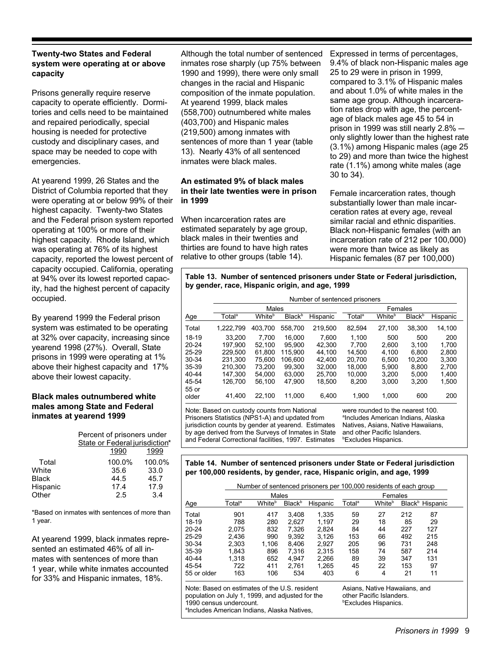#### **Twenty-two States and Federal** system were operating at or above capacity

Prisons generally require reserve capacity to operate efficiently. Dormitories and cells need to be maintained and repaired periodically, special housing is needed for protective custody and disciplinary cases, and space may be needed to cope with emergencies.

At yearend 1999, 26 States and the District of Columbia reported that they were operating at or below 99% of their highest capacity. Twenty-two States and the Federal prison system reported operating at 100% or more of their highest capacity. Rhode Island, which was operating at 76% of its highest capacity, reported the lowest percent of capacity occupied. California, operating at 94% over its lowest reported capacity, had the highest percent of capacity occupied.

By yearend 1999 the Federal prison system was estimated to be operating at 32% over capacity, increasing since yearend 1998 (27%). Overall, State prisons in 1999 were operating at 1% above their highest capacity and 17% above their lowest capacity.

#### **Black males outnumbered white** males among State and Federal inmates at yearend 1999

|              | Percent of prisoners under     |                 |
|--------------|--------------------------------|-----------------|
|              | State or Federal jurisdiction* |                 |
|              | 1990                           | 1999            |
| Total        | 100.0%                         | 100.0%          |
| White        | 35.6                           | 33.0            |
| <b>Black</b> | 44.5                           | 45.7            |
| Hispanic     | 17.4                           | 17.9            |
| Other        | 2.5                            | $\overline{34}$ |

\*Based on inmates with sentences of more than 1 vear.

At yearend 1999, black inmates represented an estimated 46% of all inmates with sentences of more than 1 year, while white inmates accounted for 33% and Hispanic inmates, 18%.

Although the total number of sentenced inmates rose sharply (up 75% between 1990 and 1999), there were only small changes in the racial and Hispanic composition of the inmate population. At yearend 1999, black males (558,700) outnumbered white males (403,700) and Hispanic males (219,500) among inmates with sentences of more than 1 year (table 13). Nearly 43% of all sentenced inmates were black males.

#### An estimated 9% of black males in their late twenties were in prison in 1999

When incarceration rates are estimated separately by age group, black males in their twenties and thirties are found to have high rates relative to other groups (table 14).

Expressed in terms of percentages, 9.4% of black non-Hispanic males age 25 to 29 were in prison in 1999, compared to 3.1% of Hispanic males and about 1.0% of white males in the same age group. Although incarceration rates drop with age, the percentage of black males age 45 to 54 in prison in 1999 was still nearly 2.8% only slightly lower than the highest rate (3.1%) among Hispanic males (age 25 to 29) and more than twice the highest rate (1.1%) among white males (age 30 to 34).

Female incarceration rates, though substantially lower than male incarceration rates at every age, reveal similar racial and ethnic disparities. Black non-Hispanic females (with an incarceration rate of 212 per 100,000) were more than twice as likely as Hispanic females (87 per 100,000)

#### Table 13. Number of sentenced prisoners under State or Federal jurisdiction, by gender, race, Hispanic origin, and age, 1999

|                |                    | Number of sentenced prisoners |                           |          |                    |                    |                           |          |
|----------------|--------------------|-------------------------------|---------------------------|----------|--------------------|--------------------|---------------------------|----------|
|                |                    | Males                         |                           |          |                    | Females            |                           |          |
| Age            | Total <sup>a</sup> | White <sup>b</sup>            | <b>Black</b> <sup>b</sup> | Hispanic | Total <sup>a</sup> | White <sup>b</sup> | <b>Black</b> <sup>b</sup> | Hispanic |
| Total          | 1.222.799          | 403.700                       | 558.700                   | 219,500  | 82,594             | 27,100             | 38,300                    | 14,100   |
| 18-19          | 33.200             | 7.700                         | 16.000                    | 7.600    | 1.100              | 500                | 500                       | 200      |
| $20 - 24$      | 197.900            | 52.100                        | 95.900                    | 42.300   | 7.700              | 2.600              | 3.100                     | 1.700    |
| $25 - 29$      | 229.500            | 61.800                        | 115.900                   | 44.100   | 14.500             | 4.100              | 6.800                     | 2.800    |
| $30 - 34$      | 231.300            | 75.600                        | 106.600                   | 42.400   | 20.700             | 6.500              | 10.200                    | 3.300    |
| 35-39          | 210.300            | 73.200                        | 99.300                    | 32.000   | 18.000             | 5.900              | 8.800                     | 2.700    |
| 40-44          | 147.300            | 54.000                        | 63.000                    | 25.700   | 10.000             | 3.200              | 5.000                     | 1.400    |
| 45-54          | 126.700            | 56.100                        | 47.900                    | 18,500   | 8.200              | 3.000              | 3.200                     | 1,500    |
| 55 or<br>older | 41.400             | 22.100                        | 11.000                    | 6.400    | 1.900              | 1.000              | 600                       | 200      |

Note: Based on custody counts from National Prisoners Statistics (NPS1-A) and updated from jurisdiction counts by gender at yearend. Estimates by age derived from the Surveys of Inmates in State and Federal Correctional facilities, 1997. Estimates

were rounded to the nearest 100. <sup>a</sup>Includes American Indians, Alaska Natives, Asians, Native Hawaiians, and other Pacific Islanders. *<b>Excludes Hispanics.* 

#### Table 14. Number of sentenced prisoners under State or Federal jurisdiction per 100,000 residents, by gender, race, Hispanic origin, and age, 1999

|             |                    |        |                           | Number of sentenced prisoners per 100,000 residents of each group |                    |         |     |                             |
|-------------|--------------------|--------|---------------------------|-------------------------------------------------------------------|--------------------|---------|-----|-----------------------------|
|             |                    | Males  |                           |                                                                   |                    | Females |     |                             |
| Age         | Total <sup>a</sup> | Whiteʰ | <b>Black</b> <sup>b</sup> | Hispanic                                                          | Total <sup>a</sup> | Whiteʰ  |     | Black <sup>b</sup> Hispanic |
| Total       | 901                | 417    | 3.408                     | 1.335                                                             | 59                 | 27      | 212 | 87                          |
| 18-19       | 788                | 280    | 2.627                     | 1.197                                                             | 29                 | 18      | 85  | 29                          |
| $20 - 24$   | 2.075              | 832    | 7.326                     | 2.824                                                             | 84                 | 44      | 227 | 127                         |
| 25-29       | 2.436              | 990    | 9,392                     | 3.126                                                             | 153                | 66      | 492 | 215                         |
| 30-34       | 2.303              | 1.106  | 8.406                     | 2.927                                                             | 205                | 96      | 731 | 248                         |
| 35-39       | 1.843              | 896    | 7.316                     | 2.315                                                             | 158                | 74      | 587 | 214                         |
| 40-44       | 1.318              | 652    | 4.947                     | 2.266                                                             | 89                 | 39      | 347 | 131                         |
| 45-54       | 722                | 411    | 2.761                     | 1,265                                                             | 45                 | 22      | 153 | 97                          |
| 55 or older | 163                | 106    | 534                       | 403                                                               | 6                  | 4       | 21  | 11                          |

Note: Based on estimates of the U.S. resident population on July 1, 1999, and adjusted for the 1990 census undercount. <sup>a</sup>Includes American Indians, Alaska Natives,

Asians, Native Hawaiians, and other Pacific Islanders. **Excludes Hispanics.**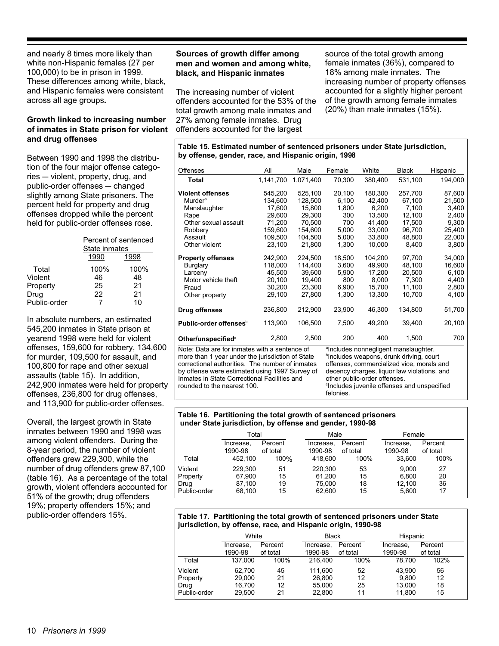and nearly 8 times more likely than white non-Hispanic females (27 per 100,000) to be in prison in 1999. These differences among white, black, and Hispanic females were consistent across all age groups.

#### Growth linked to increasing number of inmates in State prison for violent and drug offenses

Between 1990 and 1998 the distribution of the four maior offense categories - violent, property, drug, and public-order offenses - changed slightly among State prisoners. The percent held for property and drug offenses dropped while the percent held for public-order offenses rose.

|              | State inmates | Percent of sentenced |
|--------------|---------------|----------------------|
|              | 1990          | 1998                 |
| Total        | 100%          | 100%                 |
| Violent      | 46            | 48                   |
| Property     | 25            | 21                   |
| Drug         | 22            | 21                   |
| Public-order |               | 10                   |

In absolute numbers, an estimated 545,200 inmates in State prison at yearend 1998 were held for violent offenses, 159,600 for robbery, 134,600 for murder, 109,500 for assault, and 100,800 for rape and other sexual assaults (table 15). In addition, 242,900 inmates were held for property offenses, 236,800 for drug offenses, and 113,900 for public-order offenses.

Overall, the largest growth in State inmates between 1990 and 1998 was among violent offenders. During the 8-year period, the number of violent offenders grew 229,300, while the number of drug offenders grew 87,100 (table 16). As a percentage of the total growth, violent offenders accounted for 51% of the growth; drug offenders 19%; property offenders 15%; and public-order offenders 15%.

#### Sources of growth differ among men and women and among white, black, and Hispanic inmates

The increasing number of violent offenders accounted for the 53% of the total growth among male inmates and 27% among female inmates. Drug offenders accounted for the largest

source of the total growth among female inmates (36%), compared to 18% among male inmates. The increasing number of property offenses accounted for a slightly higher percent of the growth among female inmates  $(20%)$  than male inmates  $(15%)$ .

Table 15. Estimated number of sentenced prisoners under State jurisdiction, by offense, gender, race, and Hispanic origin, 1998

| <b>Offenses</b>                                                                                                                                                                                  | All       | Male      | Female | White   | <b>Black</b> | Hispanic |
|--------------------------------------------------------------------------------------------------------------------------------------------------------------------------------------------------|-----------|-----------|--------|---------|--------------|----------|
| <b>Total</b>                                                                                                                                                                                     | 1,141,700 | 1,071,400 | 70,300 | 380,400 | 531,100      | 194,000  |
| <b>Violent offenses</b>                                                                                                                                                                          | 545,200   | 525,100   | 20,100 | 180,300 | 257,700      | 87,600   |
| <b>Murder</b> <sup>a</sup>                                                                                                                                                                       | 134.600   | 128,500   | 6,100  | 42.400  | 67.100       | 21,500   |
| Manslaughter                                                                                                                                                                                     | 17.600    | 15,800    | 1,800  | 6.200   | 7,100        | 3,400    |
| Rape                                                                                                                                                                                             | 29.600    | 29,300    | 300    | 13.500  | 12,100       | 2,400    |
| Other sexual assault                                                                                                                                                                             | 71.200    | 70.500    | 700    | 41.400  | 17.500       | 9,300    |
| Robbery                                                                                                                                                                                          | 159.600   | 154.600   | 5,000  | 33.000  | 96.700       | 25,400   |
| Assault                                                                                                                                                                                          | 109.500   | 104.500   | 5,000  | 33.800  | 48.800       | 22,000   |
| Other violent                                                                                                                                                                                    | 23.100    | 21,800    | 1,300  | 10.000  | 8,400        | 3,800    |
| <b>Property offenses</b>                                                                                                                                                                         | 242,900   | 224.500   | 18,500 | 104,200 | 97,700       | 34,000   |
| <b>Burglary</b>                                                                                                                                                                                  | 118,000   | 114,400   | 3,600  | 49,900  | 48,100       | 16,600   |
| Larceny                                                                                                                                                                                          | 45,500    | 39,600    | 5,900  | 17,200  | 20,500       | 6,100    |
| Motor vehicle theft                                                                                                                                                                              | 20,100    | 19,400    | 800    | 8,000   | 7,300        | 4,400    |
| Fraud                                                                                                                                                                                            | 30,200    | 23,300    | 6,900  | 15,700  | 11,100       | 2,800    |
| Other property                                                                                                                                                                                   | 29,100    | 27,800    | 1,300  | 13,300  | 10,700       | 4,100    |
| Drug offenses                                                                                                                                                                                    | 236,800   | 212,900   | 23,900 | 46,300  | 134,800      | 51,700   |
| Public-order offenses <sup>b</sup>                                                                                                                                                               | 113,900   | 106,500   | 7,500  | 49,200  | 39,400       | 20,100   |
| Other/unspecified <sup>c</sup>                                                                                                                                                                   | 2,800     | 2,500     | 200    | 400     | 1,500        | 700      |
| Note: Data are for inmates with a sentence of<br>alncludes nonnegligent manslaughter.<br>more than 1 year under the jurisdiction of State<br><sup>b</sup> lncludes weanons, drunk driving, court |           |           |        |         |              |          |

**nore ເnan** ⊺ year under the jurisdiction correctional authorities. The number of inmates by offense were estimated using 1997 Survey of Inmates in State Correctional Facilities and rounded to the nearest 100.

ciudes weapons, drunk driving, co offenses, commercialized vice, morals and decency charges, liquor law violations, and other public-order offenses. <sup>c</sup>Includes juvenile offenses and unspecified felonies.

#### Table 16. Partitioning the total growth of sentenced prisoners under State jurisdiction, by offense and gender, 1990-98

|              | Total     |          | Male      |          | Female    |          |
|--------------|-----------|----------|-----------|----------|-----------|----------|
|              | Increase, | Percent  | Increase, | Percent  | Increase. | Percent  |
|              | 1990-98   | of total | 1990-98   | of total | 1990-98   | of total |
| Total        | 452.100   | 100%     | 418,600   | 100%     | 33.600    | 100%     |
| Violent      | 229.300   | 51       | 220.300   | 53       | 9.000     | 27       |
| Property     | 67.900    | 15       | 61.200    | 15       | 6.800     | 20       |
| Drug         | 87.100    | 19       | 75.000    | 18       | 12.100    | 36       |
| Public-order | 68.100    | 15       | 62.600    | 15       | 5,600     | 17       |

#### Table 17. Partitioning the total growth of sentenced prisoners under State jurisdiction, by offense, race, and Hispanic origin, 1990-98

|              | White     |          | <b>Black</b> |          | Hispanic  |          |  |
|--------------|-----------|----------|--------------|----------|-----------|----------|--|
|              | Increase, | Percent  | Increase.    | Percent  | Increase. | Percent  |  |
|              | 1990-98   | of total | 1990-98      | of total | 1990-98   | of total |  |
| Total        | 137.000   | 100%     | 216,400      | 100%     | 78.700    | 102%     |  |
| Violent      | 62.700    | 45       | 111.600      | 52       | 43.900    | 56       |  |
| Property     | 29,000    | 21       | 26,800       | 12       | 9.800     | 12       |  |
| Drug         | 16.700    | 12       | 55.000       | 25       | 13.000    | 18       |  |
| Public-order | 29.500    | 21       | 22,800       | 11       | 11.800    | 15       |  |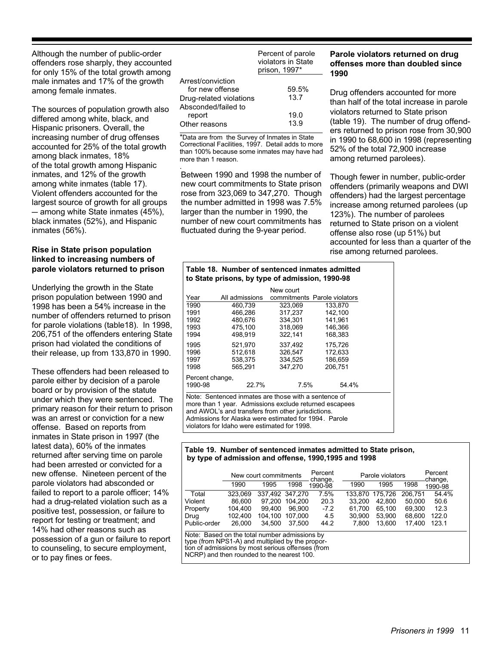Although the number of public-order offenders rose sharply, they accounted for only 15% of the total growth among male inmates and 17% of the growth among female inmates.

The sources of population growth also differed among white, black, and Hispanic prisoners. Overall, the increasing number of drug offenses accounted for 25% of the total growth among black inmates, 18% of the total growth among Hispanic inmates, and 12% of the growth among white inmates (table 17). Violent offenders accounted for the largest source of growth for all groups  $-$  among white State inmates (45%), black inmates (52%), and Hispanic inmates (56%).

#### Rise in State prison population linked to increasing numbers of parole violators returned to prison

Underlying the growth in the State prison population between 1990 and 1998 has been a 54% increase in the number of offenders returned to prison for parole violations (table 18). In 1998, 206,751 of the offenders entering State prison had violated the conditions of their release, up from 133,870 in 1990.

These offenders had been released to parole either by decision of a parole board or by provision of the statute under which they were sentenced. The primary reason for their return to prison was an arrest or conviction for a new offense. Based on reports from inmates in State prison in 1997 (the latest data), 60% of the inmates returned after serving time on parole had been arrested or convicted for a new offense. Nineteen percent of the parole violators had absconded or failed to report to a parole officer; 14% had a drug-related violation such as a positive test, possession, or failure to report for testing or treatment; and 14% had other reasons such as possession of a gun or failure to report to counseling, to secure employment, or to pay fines or fees.

|                                                                                        | Percent of parole<br>violators in State<br>prison, 1997* |  |  |
|----------------------------------------------------------------------------------------|----------------------------------------------------------|--|--|
| Arrest/conviction<br>for new offense<br>Drug-related violations<br>Absconded/failed to | 59.5%<br>13.7                                            |  |  |
| report<br>Other reasons                                                                | 19.0<br>13.9                                             |  |  |

\*Data are from the Survey of Inmates in State<br>Correctional Facilities, 1997. Detail adds to more than 100% because some inmates may have had more than 1 reason.

Between 1990 and 1998 the number of new court commitments to State prison rose from 323,069 to 347,270. Though the number admitted in 1998 was 7.5% larger than the number in 1990, the number of new court commitments has fluctuated during the 9-year period.

#### Parole violators returned on drug offenses more than doubled since 1990

Drug offenders accounted for more than half of the total increase in parole violators returned to State prison (table 19). The number of drug offenders returned to prison rose from 30,900 in 1990 to 68,600 in 1998 (representing 52% of the total 72,900 increase among returned parolees).

Though fewer in number, public-order offenders (primarily weapons and DWI offenders) had the largest percentage increase among returned parolees (up 123%). The number of parolees returned to State prison on a violent offense also rose (up 51%) but accounted for less than a quarter of the rise among returned parolees.

#### Table 18. Number of sentenced inmates admitted to State prisons, by type of admission, 1990-98

|                                                                                                                |                | New court                    |         |  |  |
|----------------------------------------------------------------------------------------------------------------|----------------|------------------------------|---------|--|--|
| Year                                                                                                           | All admissions | commitments Parole violators |         |  |  |
| 1990                                                                                                           | 460.739        | 323.069                      | 133.870 |  |  |
| 1991                                                                                                           | 466.286        | 317.237                      | 142.100 |  |  |
| 1992                                                                                                           | 480.676        | 334.301                      | 141.961 |  |  |
| 1993                                                                                                           | 475.100        | 318.069                      | 146.366 |  |  |
| 1994                                                                                                           | 498.919        | 322,141                      | 168.383 |  |  |
| 1995                                                                                                           | 521.970        | 337.492                      | 175.726 |  |  |
| 1996                                                                                                           | 512.618        | 326.547                      | 172.633 |  |  |
| 1997                                                                                                           | 538,375        | 334,525                      | 186.659 |  |  |
| 1998                                                                                                           | 565.291        | 347.270                      | 206.751 |  |  |
| Percent change,                                                                                                |                |                              |         |  |  |
| 1990-98                                                                                                        | 22.7%          | 7.5%                         | 54.4%   |  |  |
| Note: Sentenced inmates are those with a sentence of<br>more than 1 year. Admissions exclude returned escapees |                |                              |         |  |  |
| and AWOL's and transfers from other jurisdictions.                                                             |                |                              |         |  |  |
| Admissions for Alaska were estimated for 1994. Parole                                                          |                |                              |         |  |  |
| violators for Idaho were estimated for 1998.                                                                   |                |                              |         |  |  |

#### Table 19. Number of sentenced inmates admitted to State prison. by type of admission and offense, 1990, 1995 and 1998

|                                                                                                                                                                                                      | New court commitments |                 |         | Percent<br>change, |         | Percent<br>Parole violators |         |                    |
|------------------------------------------------------------------------------------------------------------------------------------------------------------------------------------------------------|-----------------------|-----------------|---------|--------------------|---------|-----------------------------|---------|--------------------|
|                                                                                                                                                                                                      | 1990                  | 1995            | 1998    | 1990-98            | 1990    | 1995                        | 1998    | change,<br>1990-98 |
| Total                                                                                                                                                                                                | 323.069               | 337.492 347.270 |         | 7.5%               | 133.870 | 175.726                     | 206.751 | 54.4%              |
| Violent                                                                                                                                                                                              | 86.600                | 97.200          | 104.200 | 20.3               | 33.200  | 42.800                      | 50.000  | 50.6               |
| Property                                                                                                                                                                                             | 104.400               | 99.400          | 96.900  | $-7.2$             | 61.700  | 65.100                      | 69.300  | 12.3               |
| Drug                                                                                                                                                                                                 | 102.400               | 104.100         | 107.000 | 4.5                | 30.900  | 53.900                      | 68,600  | 122.0              |
| Public-order                                                                                                                                                                                         | 26,000                | 34.500          | 37.500  | 44.2               | 7.800   | 13.600                      | 17.400  | 123.1              |
| Note: Based on the total number admissions by<br>type (from NPS1-A) and multiplied by the propor-<br>tion of admissions by most serious offenses (from<br>NCRP) and then rounded to the nearest 100. |                       |                 |         |                    |         |                             |         |                    |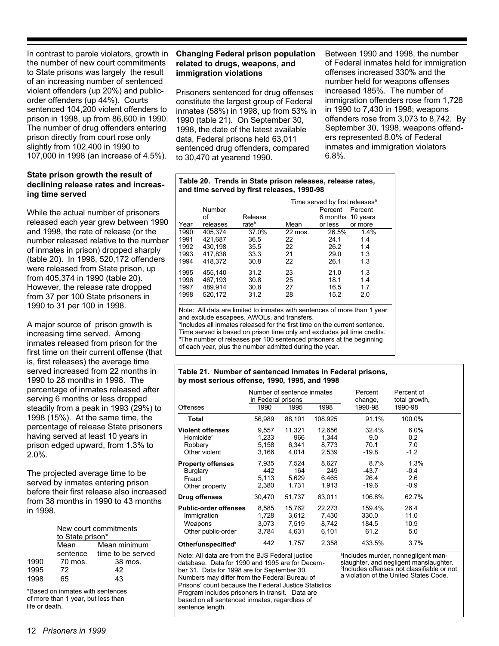In contrast to parole violators, growth in the number of new court commitments to State prisons was largely the result of an increasing number of sentenced violent offenders (up 20%) and publicorder offenders (up 44%). Courts sentenced 104,200 violent offenders to prison in 1998, up from 86,600 in 1990. The number of drug offenders entering prison directly from court rose only slightly from 102,400 in 1990 to 107,000 in 1998 (an increase of 4.5%).

#### State prison growth the result of declining release rates and increasing time served

While the actual number of prisoners released each year grew between 1990 and 1998, the rate of release (or the number released relative to the number of inmates in prison) dropped sharply (table 20). In 1998, 520, 172 offenders were released from State prison, up from 405,374 in 1990 (table 20). However, the release rate dropped from 37 per 100 State prisoners in 1990 to 31 per 100 in 1998.

A major source of prison growth is increasing time served. Among inmates released from prison for the first time on their current offense (that is, first releases) the average time served increased from 22 months in 1990 to 28 months in 1998. The percentage of inmates released after serving 6 months or less dropped steadily from a peak in 1993 (29%) to 1998 (15%). At the same time, the percentage of release State prisoners having served at least 10 years in prison edged upward, from 1.3% to  $2.0\%$ .

The projected average time to be served by inmates entering prison before their first release also increased from 38 months in 1990 to 43 months in 1998.

|      | New court commitments<br>to State prison* |                   |  |  |  |  |
|------|-------------------------------------------|-------------------|--|--|--|--|
|      | Mean                                      | Mean minimum      |  |  |  |  |
|      | sentence                                  | time to be served |  |  |  |  |
| 1990 | 70 mos.                                   | 38 mos.           |  |  |  |  |
| 1995 | 72                                        | 42                |  |  |  |  |
| 1998 | 65                                        | 43                |  |  |  |  |

\*Based on inmates with sentences of more than 1 year, but less than life or death.

#### **Changing Federal prison population** related to drugs, weapons, and immigration violations

Prisoners sentenced for drug offenses constitute the largest group of Federal inmates (58%) in 1998, up from 53% in 1990 (table 21). On September 30, 1998, the date of the latest available data, Federal prisons held 63,011 sentenced drug offenders, compared to 30,470 at yearend 1990.

Between 1990 and 1998, the number of Federal inmates held for immigration offenses increased 330% and the number held for weapons offenses increased 185%. The number of immigration offenders rose from 1,728 in 1990 to 7,430 in 1998; weapons offenders rose from 3,073 to 8,742. By September 30, 1998, weapons offenders represented 8.0% of Federal inmates and immigration violators  $6.8%$ .

#### Table 20. Trends in State prison releases, release rates. and time served by first releases, 1990-98

|      |          |                   | Time served by first releases <sup>a</sup> |          |          |  |
|------|----------|-------------------|--------------------------------------------|----------|----------|--|
|      | Number   |                   |                                            | Percent  | Percent  |  |
|      | οf       | Release           |                                            | 6 months | 10 years |  |
| Year | releases | rate <sup>b</sup> | Mean                                       | or less  | or more  |  |
| 1990 | 405.374  | 37.0%             | 22 mos.                                    | 26.5%    | 1.4%     |  |
| 1991 | 421.687  | 36.5              | 22                                         | 24.1     | 1.4      |  |
| 1992 | 430.198  | 35.5              | 22                                         | 26.2     | 1.4      |  |
| 1993 | 417,838  | 33.3              | 21                                         | 29.0     | 1.3      |  |
| 1994 | 418.372  | 30.8              | 22                                         | 26.1     | 1.3      |  |
| 1995 | 455,140  | 31.2              | 23                                         | 21.0     | 1.3      |  |
| 1996 | 467,193  | 30.8              | 25                                         | 18.1     | 1.4      |  |
| 1997 | 489.914  | 30.8              | 27                                         | 16.5     | 1.7      |  |
| 1998 | 520.172  | 31.2              | 28                                         | 15.2     | 2.0      |  |

Note: All data are limited to inmates with sentences of more than 1 year and exclude escapees, AWOLs, and transfers.

alncludes all inmates released for the first time on the current sentence. Time served is based on prison time only and excludes jail time credits. <sup>b</sup>The number of releases per 100 sentenced prisoners at the beginning of each year, plus the number admitted during the year.

#### Table 21. Number of sentenced inmates in Federal prisons, by most serious offense, 1990, 1995, and 1998

| Offenses                                                                                                                      | Number of sentence inmates<br>in Federal prisons<br>1990  | 1995                                                     | 1998                                                       | Percent<br>change,<br>1990-98                            | Percent of<br>total growth,<br>1990-98                |  |
|-------------------------------------------------------------------------------------------------------------------------------|-----------------------------------------------------------|----------------------------------------------------------|------------------------------------------------------------|----------------------------------------------------------|-------------------------------------------------------|--|
| Total                                                                                                                         | 56.989                                                    | 88,101                                                   | 108.925                                                    | 91.1%                                                    | 100.0%                                                |  |
| <b>Violent offenses</b><br>Homicide <sup>a</sup><br>Robbery<br>Other violent<br><b>Property offenses</b><br>Burglary<br>Fraud | 9,557<br>1,233<br>5,158<br>3,166<br>7.935<br>442<br>5,113 | 11,321<br>966<br>6,341<br>4.014<br>7.524<br>164<br>5,629 | 12,656<br>1,344<br>8,773<br>2,539<br>8,627<br>249<br>6,465 | 32.4%<br>9.0<br>70.1<br>-19.8<br>8.7%<br>$-43.7$<br>26.4 | 6.0%<br>0.2<br>7.0<br>$-1.2$<br>1.3%<br>$-0.4$<br>2.6 |  |
| Other property                                                                                                                | 2,380                                                     | 1,731                                                    | 1,913                                                      | $-19.6$                                                  | $-0.9$                                                |  |
| Drug offenses                                                                                                                 | 30,470                                                    | 51,737                                                   | 63.011                                                     | 106.8%                                                   | 62.7%                                                 |  |
| <b>Public-order offenses</b><br>Immigration<br>Weapons<br>Other public-order                                                  | 8,585<br>1,728<br>3,073<br>3,784                          | 15,762<br>3,612<br>7,519<br>4,631                        | 22,273<br>7,430<br>8,742<br>6,101                          | 159.4%<br>330.0<br>184.5<br>61.2                         | 26.4<br>11.0<br>10.9<br>5.0                           |  |
| Other/unspecified <sup>b</sup>                                                                                                | 442                                                       | 1.757                                                    | 2.358                                                      | 433.5%                                                   | 3.7%                                                  |  |

Note: All data are from the BJS Federal justice database. Data for 1990 and 1995 are for December 31. Data for 1998 are for September 30. Numbers may differ from the Federal Bureau of Prisons' count because the Federal Justice Statistics Program includes prisoners in transit. Data are based on all sentenced inmates, regardless of sentence length.

alncludes murder, nonnegligent manslaughter, and negligent manslaughter. <sup>b</sup>Includes offenses not classifiable or not a violation of the United States Code.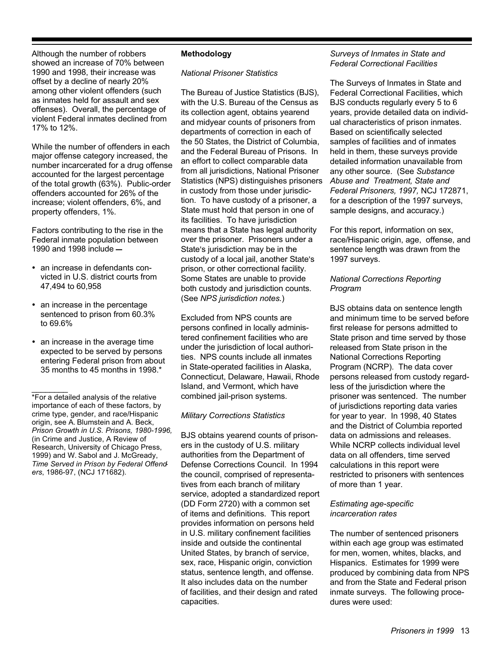Although the number of robbers showed an increase of 70% between 1990 and 1998, their increase was offset by a decline of nearly 20% among other violent offenders (such as inmates held for assault and sex offenses). Overall, the percentage of violent Federal inmates declined from 17% to 12%.

While the number of offenders in each major offense category increased, the number incarcerated for a drug offense accounted for the largest percentage of the total growth (63%). Public-order offenders accounted for 26% of the increase; violent offenders, 6%, and property offenders, 1%.

Factors contributing to the rise in the Federal inmate population between 1990 and 1998 include -

- an increase in defendants convicted in U.S. district courts from 47,494 to 60,958
- an increase in the percentage sentenced to prison from 60.3% to 69.6%
- an increase in the average time expected to be served by persons entering Federal prison from about 35 months to 45 months in 1998.\*

#### **Methodology**

#### **National Prisoner Statistics**

The Bureau of Justice Statistics (BJS), with the U.S. Bureau of the Census as its collection agent, obtains yearend and midyear counts of prisoners from departments of correction in each of the 50 States, the District of Columbia. and the Federal Bureau of Prisons. In an effort to collect comparable data from all jurisdictions, National Prisoner Statistics (NPS) distinguishes prisoners in custody from those under jurisdiction. To have custody of a prisoner, a State must hold that person in one of its facilities. To have jurisdiction means that a State has legal authority over the prisoner. Prisoners under a State's jurisdiction may be in the custody of a local jail, another State's prison, or other correctional facility. Some States are unable to provide both custody and jurisdiction counts. (See NPS jurisdiction notes.)

Excluded from NPS counts are persons confined in locally administered confinement facilities who are under the jurisdiction of local authorities. NPS counts include all inmates in State-operated facilities in Alaska, Connecticut, Delaware, Hawaii, Rhode Island, and Vermont, which have combined jail-prison systems.

#### **Military Corrections Statistics**

BJS obtains yearend counts of prisoners in the custody of U.S. military authorities from the Department of Defense Corrections Council. In 1994 the council, comprised of representatives from each branch of military service, adopted a standardized report (DD Form 2720) with a common set of items and definitions. This report provides information on persons held in U.S. military confinement facilities inside and outside the continental United States, by branch of service, sex, race, Hispanic origin, conviction status, sentence length, and offense. It also includes data on the number of facilities, and their design and rated capacities.

#### Surveys of Inmates in State and **Federal Correctional Facilities**

The Surveys of Inmates in State and **Federal Correctional Facilities, which** BJS conducts regularly every 5 to 6 vears, provide detailed data on individual characteristics of prison inmates. Based on scientifically selected samples of facilities and of inmates held in them, these surveys provide detailed information unavailable from any other source. (See Substance Abuse and Treatment. State and Federal Prisoners, 1997, NCJ 172871, for a description of the 1997 surveys. sample designs, and accuracy.)

For this report, information on sex, race/Hispanic origin, age, offense, and sentence length was drawn from the 1997 surveys.

#### **National Corrections Reporting** Program

BJS obtains data on sentence length and minimum time to be served before first release for persons admitted to State prison and time served by those released from State prison in the **National Corrections Reporting** Program (NCRP). The data cover persons released from custody regardless of the jurisdiction where the prisoner was sentenced. The number of jurisdictions reporting data varies for year to year. In 1998, 40 States and the District of Columbia reported data on admissions and releases. While NCRP collects individual level data on all offenders, time served calculations in this report were restricted to prisoners with sentences of more than 1 year.

#### Estimating age-specific *incarceration rates*

The number of sentenced prisoners within each age group was estimated for men, women, whites, blacks, and Hispanics. Estimates for 1999 were produced by combining data from NPS and from the State and Federal prison inmate surveys. The following procedures were used:

<sup>\*</sup>For a detailed analysis of the relative importance of each of these factors, by crime type, gender, and race/Hispanic origin, see A. Blumstein and A. Beck, Prison Growth in U.S. Prisons, 1980-1996, (in Crime and Justice, A Review of Research, University of Chicago Press, 1999) and W. Sabol and J. McGready, Time Served in Prison by Federal Offenders, 1986-97, (NCJ 171682).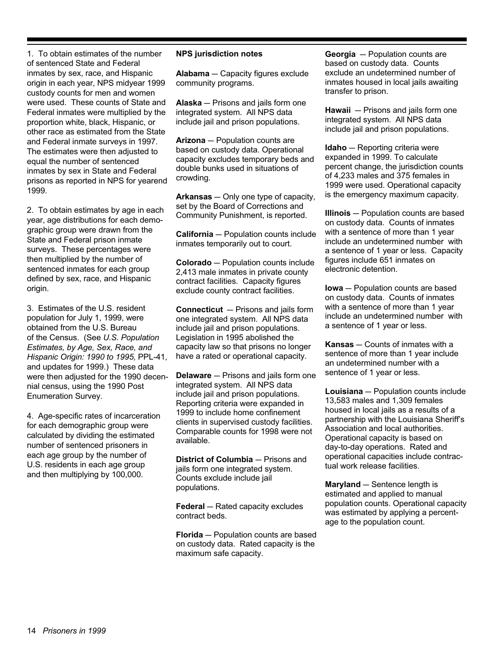1. To obtain estimates of the number of sentenced State and Federal inmates by sex, race, and Hispanic origin in each year, NPS midyear 1999 custody counts for men and women were used. These counts of State and Federal inmates were multiplied by the proportion white, black, Hispanic, or other race as estimated from the State and Federal inmate surveys in 1997. The estimates were then adjusted to equal the number of sentenced inmates by sex in State and Federal prisons as reported in NPS for yearend 1999

2. To obtain estimates by age in each year, age distributions for each demographic group were drawn from the State and Federal prison inmate surveys. These percentages were then multiplied by the number of sentenced inmates for each group defined by sex, race, and Hispanic origin.

3. Estimates of the U.S. resident population for July 1, 1999, were obtained from the U.S. Bureau of the Census. (See U.S. Population Estimates, by Age, Sex, Race, and Hispanic Origin: 1990 to 1995, PPL-41, and updates for 1999.) These data were then adjusted for the 1990 decennial census, using the 1990 Post **Enumeration Survey.** 

4. Age-specific rates of incarceration for each demographic group were calculated by dividing the estimated number of sentenced prisoners in each age group by the number of U.S. residents in each age group and then multiplying by 100,000.

#### **NPS jurisdiction notes**

Alabama - Capacity figures exclude community programs.

**Alaska** - Prisons and jails form one integrated system. All NPS data include jail and prison populations.

Arizona - Population counts are based on custody data. Operational capacity excludes temporary beds and double bunks used in situations of crowdina.

Arkansas - Only one type of capacity, set by the Board of Corrections and Community Punishment, is reported.

**California** - Population counts include inmates temporarily out to court.

**Colorado** - Population counts include 2,413 male inmates in private county contract facilities. Capacity figures exclude county contract facilities.

**Connecticut** - Prisons and jails form one integrated system. All NPS data include jail and prison populations. Legislation in 1995 abolished the capacity law so that prisons no longer have a rated or operational capacity.

**Delaware** - Prisons and jails form one integrated system. All NPS data include jail and prison populations. Reporting criteria were expanded in 1999 to include home confinement clients in supervised custody facilities. Comparable counts for 1998 were not available.

District of Columbia - Prisons and jails form one integrated system. Counts exclude include jail populations.

**Federal** - Rated capacity excludes contract beds.

**Florida** - Population counts are based on custody data. Rated capacity is the maximum safe capacity.

Georgia - Population counts are based on custody data. Counts exclude an undetermined number of inmates housed in local jails awaiting transfer to prison.

**Hawaii**  $-$  Prisons and jails form one integrated system. All NPS data include jail and prison populations.

**Idaho** - Reporting criteria were expanded in 1999. To calculate percent change, the jurisdiction counts of 4,233 males and 375 females in 1999 were used. Operational capacity is the emergency maximum capacity.

Illinois - Population counts are based on custody data. Counts of inmates with a sentence of more than 1 year include an undetermined number with a sentence of 1 year or less. Capacity figures include 651 inmates on electronic detention.

**lowa** - Population counts are based on custody data. Counts of inmates with a sentence of more than 1 year include an undetermined number with a sentence of 1 year or less.

**Kansas** - Counts of inmates with a sentence of more than 1 year include an undetermined number with a sentence of 1 year or less.

Louisiana - Population counts include 13,583 males and 1,309 females housed in local jails as a results of a partnership with the Louisiana Sheriff's Association and local authorities. Operational capacity is based on day-to-day operations. Rated and operational capacities include contractual work release facilities.

Maryland - Sentence length is estimated and applied to manual population counts. Operational capacity was estimated by applying a percentage to the population count.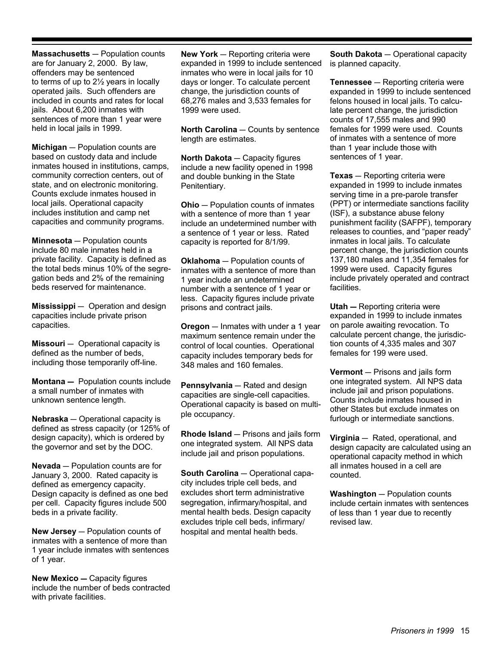**Massachusetts** - Population counts are for January 2, 2000. By law, offenders may be sentenced to terms of up to 21/2 years in locally operated jails. Such offenders are included in counts and rates for local iails. About 6.200 inmates with sentences of more than 1 year were held in local jails in 1999.

Michigan - Population counts are based on custody data and include inmates housed in institutions, camps, community correction centers, out of state, and on electronic monitoring. Counts exclude inmates housed in local jails. Operational capacity includes institution and camp net capacities and community programs.

**Minnesota** - Population counts include 80 male inmates held in a private facility. Capacity is defined as the total beds minus 10% of the segregation beds and 2% of the remaining beds reserved for maintenance.

Mississippi - Operation and design capacities include private prison capacities.

 $Missouri$  - Operational capacity is defined as the number of beds, including those temporarily off-line.

Montana - Population counts include a small number of inmates with unknown sentence length.

**Nebraska** – Operational capacity is defined as stress capacity (or 125% of design capacity), which is ordered by the governor and set by the DOC.

**Nevada** - Population counts are for January 3, 2000. Rated capacity is defined as emergency capacity. Design capacity is defined as one bed per cell. Capacity figures include 500 beds in a private facility.

**New Jersey** - Population counts of inmates with a sentence of more than 1 year include inmates with sentences of 1 year.

**New Mexico - Capacity figures** include the number of beds contracted with private facilities.

New York - Reporting criteria were expanded in 1999 to include sentenced inmates who were in local jails for 10 days or longer. To calculate percent change, the jurisdiction counts of 68,276 males and 3,533 females for 1999 were used.

North Carolina - Counts by sentence length are estimates.

North Dakota - Capacity figures include a new facility opened in 1998 and double bunking in the State Penitentiary.

**Ohio** - Population counts of inmates with a sentence of more than 1 year include an undetermined number with a sentence of 1 year or less. Rated capacity is reported for 8/1/99.

**Oklahoma** - Population counts of inmates with a sentence of more than 1 year include an undetermined number with a sentence of 1 year or less. Capacity figures include private prisons and contract jails.

**Oregon** - Inmates with under a 1 year maximum sentence remain under the control of local counties. Operational capacity includes temporary beds for 348 males and 160 females.

**Pennsylvania** - Rated and design capacities are single-cell capacities. Operational capacity is based on multiple occupancy.

Rhode Island - Prisons and jails form one integrated system. All NPS data include jail and prison populations.

South Carolina - Operational capacity includes triple cell beds, and excludes short term administrative segregation, infirmary/hospital, and mental health beds. Design capacity excludes triple cell beds, infirmary/ hospital and mental health beds.

South Dakota - Operational capacity is planned capacity.

**Tennessee** - Reporting criteria were expanded in 1999 to include sentenced felons housed in local jails. To calculate percent change, the jurisdiction counts of 17,555 males and 990 females for 1999 were used. Counts of inmates with a sentence of more than 1 year include those with sentences of 1 year.

**Texas**  $-$  Reporting criteria were expanded in 1999 to include inmates serving time in a pre-parole transfer (PPT) or intermediate sanctions facility (ISF), a substance abuse felony punishment facility (SAFPF), temporary releases to counties, and "paper ready" inmates in local jails. To calculate percent change, the jurisdiction counts 137,180 males and 11,354 females for 1999 were used. Capacity figures include privately operated and contract facilities.

**Utah** - Reporting criteria were expanded in 1999 to include inmates on parole awaiting revocation. To calculate percent change, the jurisdiction counts of 4,335 males and 307 females for 199 were used.

**Vermont** - Prisons and jails form one integrated system. All NPS data include jail and prison populations. Counts include inmates housed in other States but exclude inmates on furlough or intermediate sanctions.

Virginia - Rated, operational, and design capacity are calculated using an operational capacity method in which all inmates housed in a cell are counted.

**Washington** - Population counts include certain inmates with sentences of less than 1 year due to recently revised law.